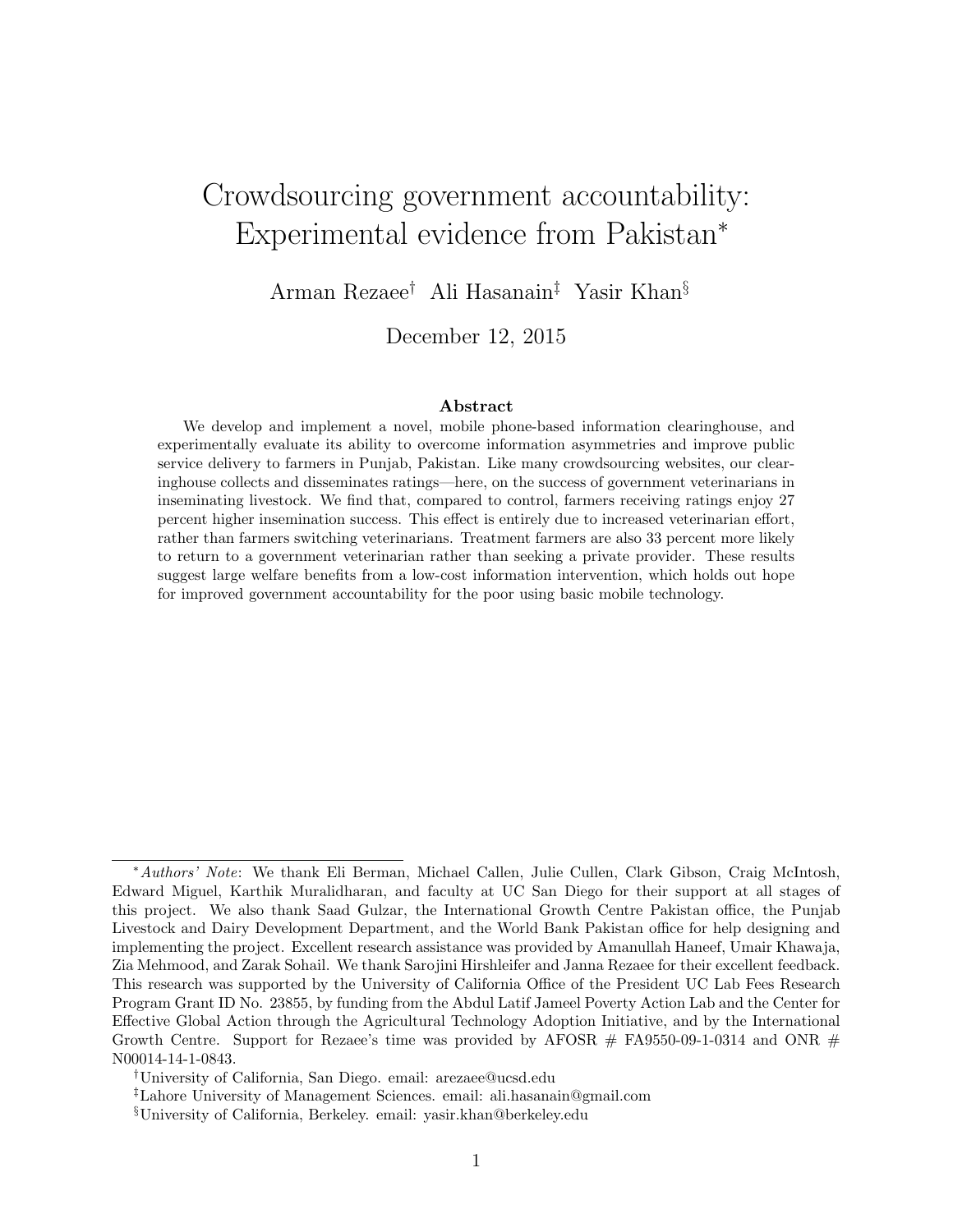# Crowdsourcing government accountability: Experimental evidence from Pakistan<sup>∗</sup>

Arman Rezaee† Ali Hasanain‡ Yasir Khan§

December 12, 2015

#### Abstract

We develop and implement a novel, mobile phone-based information clearinghouse, and experimentally evaluate its ability to overcome information asymmetries and improve public service delivery to farmers in Punjab, Pakistan. Like many crowdsourcing websites, our clearinghouse collects and disseminates ratings—here, on the success of government veterinarians in inseminating livestock. We find that, compared to control, farmers receiving ratings enjoy 27 percent higher insemination success. This effect is entirely due to increased veterinarian effort, rather than farmers switching veterinarians. Treatment farmers are also 33 percent more likely to return to a government veterinarian rather than seeking a private provider. These results suggest large welfare benefits from a low-cost information intervention, which holds out hope for improved government accountability for the poor using basic mobile technology.

<sup>∗</sup>Authors' Note: We thank Eli Berman, Michael Callen, Julie Cullen, Clark Gibson, Craig McIntosh, Edward Miguel, Karthik Muralidharan, and faculty at UC San Diego for their support at all stages of this project. We also thank Saad Gulzar, the International Growth Centre Pakistan office, the Punjab Livestock and Dairy Development Department, and the World Bank Pakistan office for help designing and implementing the project. Excellent research assistance was provided by Amanullah Haneef, Umair Khawaja, Zia Mehmood, and Zarak Sohail. We thank Sarojini Hirshleifer and Janna Rezaee for their excellent feedback. This research was supported by the University of California Office of the President UC Lab Fees Research Program Grant ID No. 23855, by funding from the Abdul Latif Jameel Poverty Action Lab and the Center for Effective Global Action through the Agricultural Technology Adoption Initiative, and by the International Growth Centre. Support for Rezaee's time was provided by AFOSR  $#$  FA9550-09-1-0314 and ONR  $#$ N00014-14-1-0843.

<sup>†</sup>University of California, San Diego. email: arezaee@ucsd.edu

<sup>‡</sup>Lahore University of Management Sciences. email: ali.hasanain@gmail.com

<sup>§</sup>University of California, Berkeley. email: yasir.khan@berkeley.edu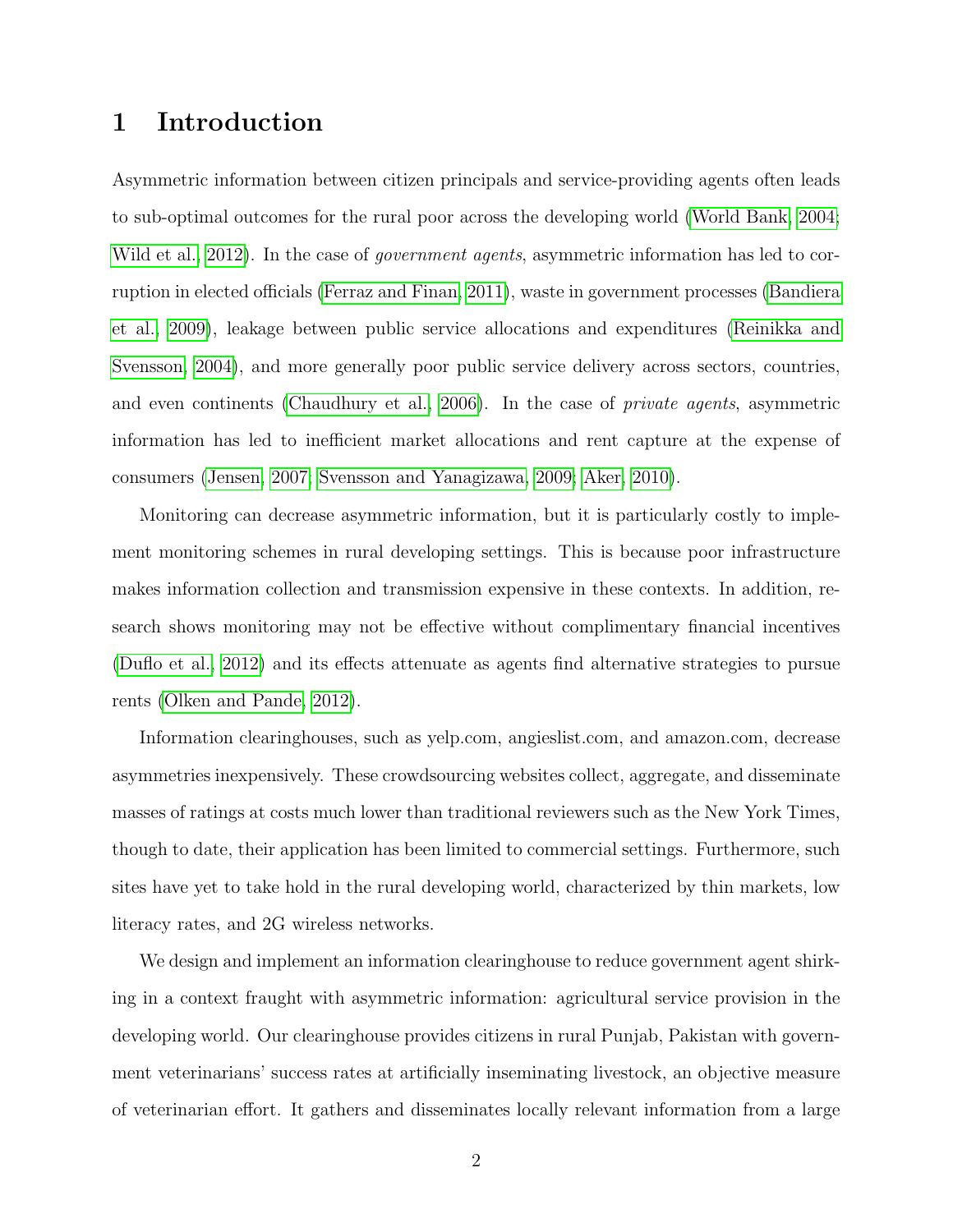## 1 Introduction

Asymmetric information between citizen principals and service-providing agents often leads to sub-optimal outcomes for the rural poor across the developing world [\(World Bank, 2004;](#page-23-0) [Wild et al., 2012\)](#page-23-1). In the case of *government agents*, asymmetric information has led to corruption in elected officials [\(Ferraz and Finan, 2011\)](#page-22-0), waste in government processes [\(Bandiera](#page-22-1) [et al., 2009\)](#page-22-1), leakage between public service allocations and expenditures [\(Reinikka and](#page-23-2) [Svensson, 2004\)](#page-23-2), and more generally poor public service delivery across sectors, countries, and even continents [\(Chaudhury et al., 2006\)](#page-22-2). In the case of private agents, asymmetric information has led to inefficient market allocations and rent capture at the expense of consumers [\(Jensen, 2007;](#page-22-3) [Svensson and Yanagizawa, 2009;](#page-23-3) [Aker, 2010\)](#page-22-4).

Monitoring can decrease asymmetric information, but it is particularly costly to implement monitoring schemes in rural developing settings. This is because poor infrastructure makes information collection and transmission expensive in these contexts. In addition, research shows monitoring may not be effective without complimentary financial incentives [\(Duflo et al., 2012\)](#page-22-5) and its effects attenuate as agents find alternative strategies to pursue rents [\(Olken and Pande, 2012\)](#page-22-6).

Information clearinghouses, such as yelp.com, angieslist.com, and amazon.com, decrease asymmetries inexpensively. These crowdsourcing websites collect, aggregate, and disseminate masses of ratings at costs much lower than traditional reviewers such as the New York Times, though to date, their application has been limited to commercial settings. Furthermore, such sites have yet to take hold in the rural developing world, characterized by thin markets, low literacy rates, and 2G wireless networks.

We design and implement an information clearinghouse to reduce government agent shirking in a context fraught with asymmetric information: agricultural service provision in the developing world. Our clearinghouse provides citizens in rural Punjab, Pakistan with government veterinarians' success rates at artificially inseminating livestock, an objective measure of veterinarian effort. It gathers and disseminates locally relevant information from a large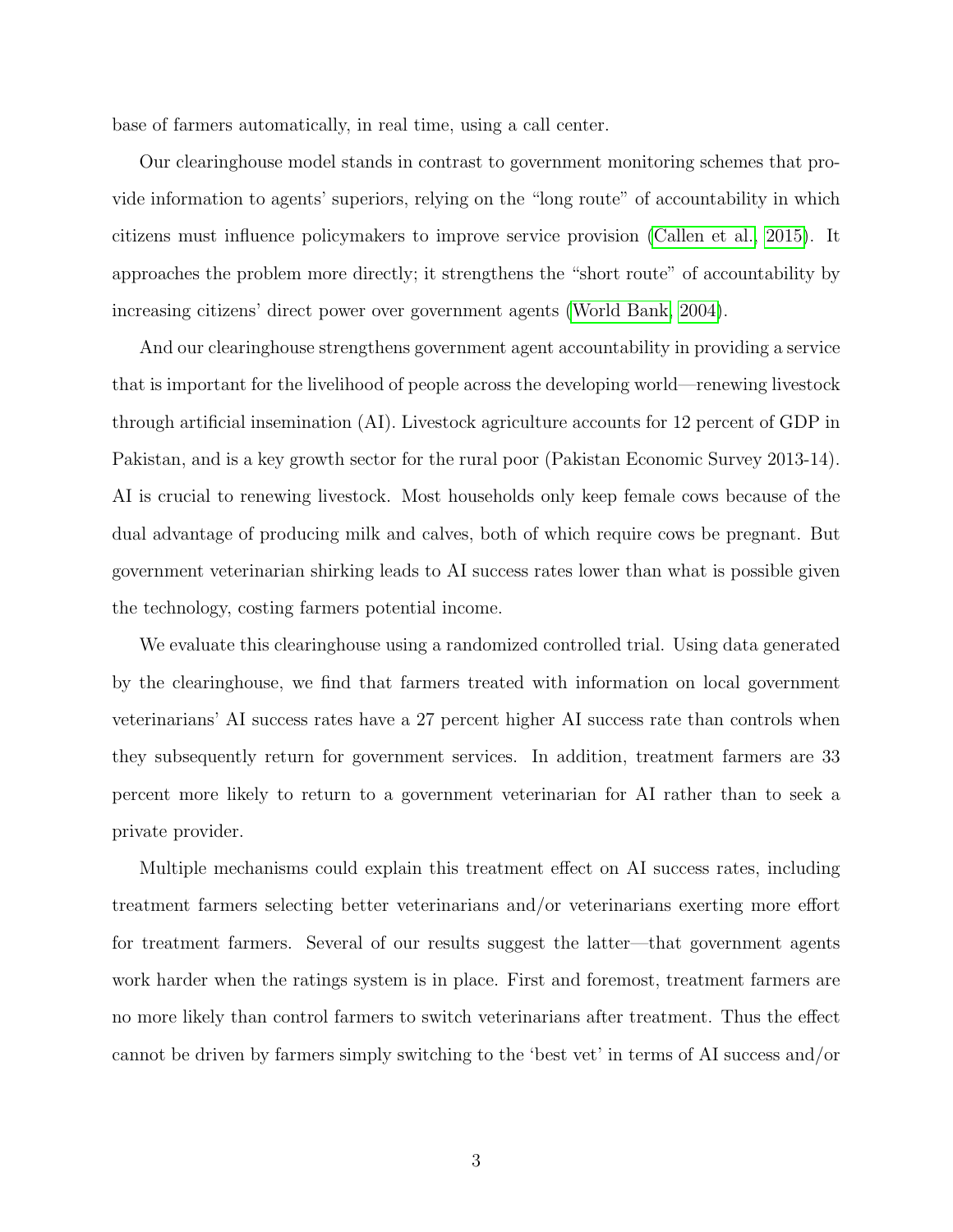base of farmers automatically, in real time, using a call center.

Our clearinghouse model stands in contrast to government monitoring schemes that provide information to agents' superiors, relying on the "long route" of accountability in which citizens must influence policymakers to improve service provision [\(Callen et al., 2015\)](#page-22-7). It approaches the problem more directly; it strengthens the "short route" of accountability by increasing citizens' direct power over government agents [\(World Bank, 2004\)](#page-23-0).

And our clearinghouse strengthens government agent accountability in providing a service that is important for the livelihood of people across the developing world—renewing livestock through artificial insemination (AI). Livestock agriculture accounts for 12 percent of GDP in Pakistan, and is a key growth sector for the rural poor (Pakistan Economic Survey 2013-14). AI is crucial to renewing livestock. Most households only keep female cows because of the dual advantage of producing milk and calves, both of which require cows be pregnant. But government veterinarian shirking leads to AI success rates lower than what is possible given the technology, costing farmers potential income.

We evaluate this clearinghouse using a randomized controlled trial. Using data generated by the clearinghouse, we find that farmers treated with information on local government veterinarians' AI success rates have a 27 percent higher AI success rate than controls when they subsequently return for government services. In addition, treatment farmers are 33 percent more likely to return to a government veterinarian for AI rather than to seek a private provider.

Multiple mechanisms could explain this treatment effect on AI success rates, including treatment farmers selecting better veterinarians and/or veterinarians exerting more effort for treatment farmers. Several of our results suggest the latter—that government agents work harder when the ratings system is in place. First and foremost, treatment farmers are no more likely than control farmers to switch veterinarians after treatment. Thus the effect cannot be driven by farmers simply switching to the 'best vet' in terms of AI success and/or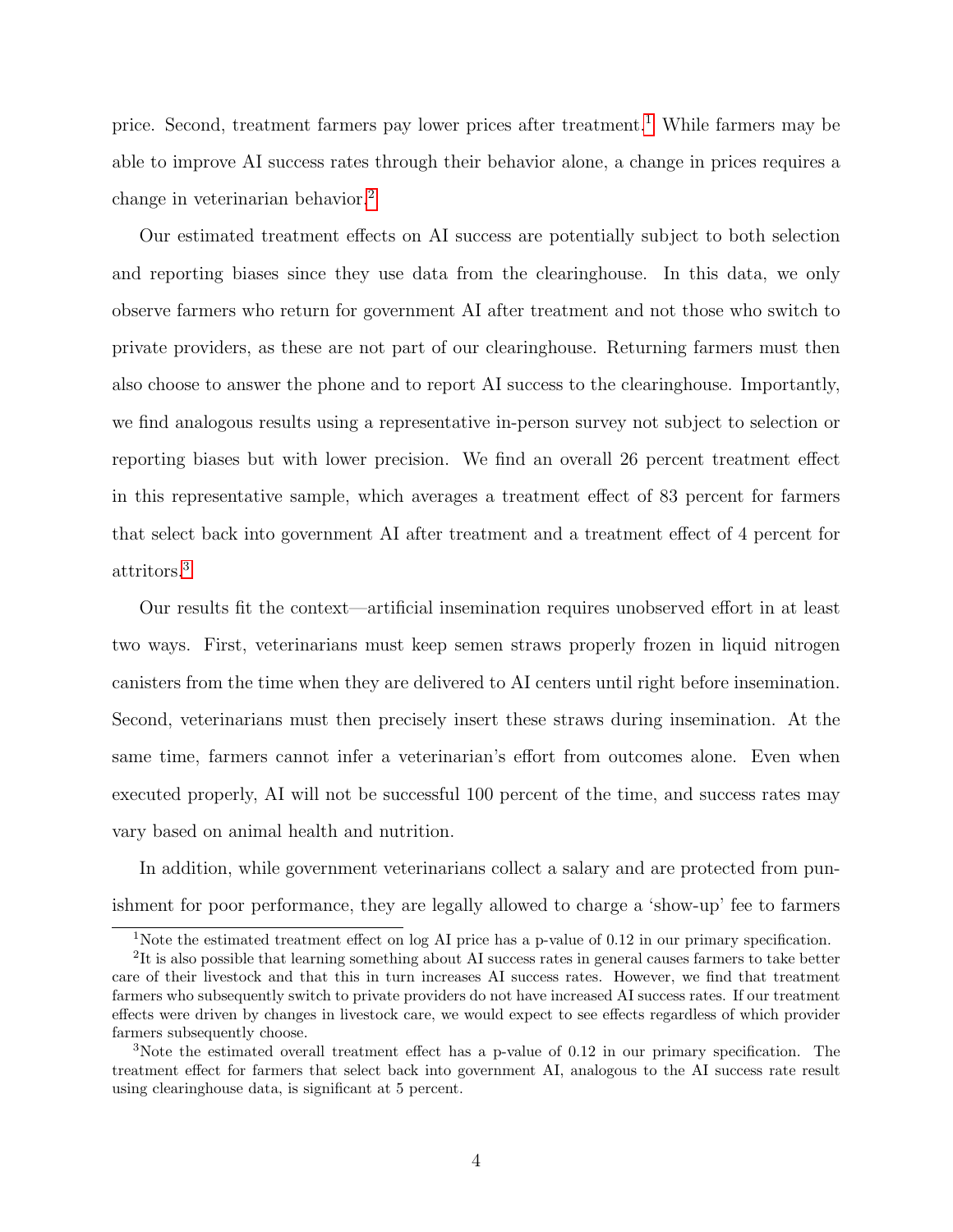price. Second, treatment farmers pay lower prices after treatment.<sup>[1](#page-3-0)</sup> While farmers may be able to improve AI success rates through their behavior alone, a change in prices requires a change in veterinarian behavior.[2](#page-3-1)

Our estimated treatment effects on AI success are potentially subject to both selection and reporting biases since they use data from the clearinghouse. In this data, we only observe farmers who return for government AI after treatment and not those who switch to private providers, as these are not part of our clearinghouse. Returning farmers must then also choose to answer the phone and to report AI success to the clearinghouse. Importantly, we find analogous results using a representative in-person survey not subject to selection or reporting biases but with lower precision. We find an overall 26 percent treatment effect in this representative sample, which averages a treatment effect of 83 percent for farmers that select back into government AI after treatment and a treatment effect of 4 percent for attritors.[3](#page-3-2)

Our results fit the context—artificial insemination requires unobserved effort in at least two ways. First, veterinarians must keep semen straws properly frozen in liquid nitrogen canisters from the time when they are delivered to AI centers until right before insemination. Second, veterinarians must then precisely insert these straws during insemination. At the same time, farmers cannot infer a veterinarian's effort from outcomes alone. Even when executed properly, AI will not be successful 100 percent of the time, and success rates may vary based on animal health and nutrition.

In addition, while government veterinarians collect a salary and are protected from punishment for poor performance, they are legally allowed to charge a 'show-up' fee to farmers

<span id="page-3-1"></span><span id="page-3-0"></span><sup>&</sup>lt;sup>1</sup>Note the estimated treatment effect on log AI price has a p-value of 0.12 in our primary specification.

<sup>&</sup>lt;sup>2</sup>It is also possible that learning something about AI success rates in general causes farmers to take better care of their livestock and that this in turn increases AI success rates. However, we find that treatment farmers who subsequently switch to private providers do not have increased AI success rates. If our treatment effects were driven by changes in livestock care, we would expect to see effects regardless of which provider farmers subsequently choose.

<span id="page-3-2"></span><sup>&</sup>lt;sup>3</sup>Note the estimated overall treatment effect has a p-value of 0.12 in our primary specification. The treatment effect for farmers that select back into government AI, analogous to the AI success rate result using clearinghouse data, is significant at 5 percent.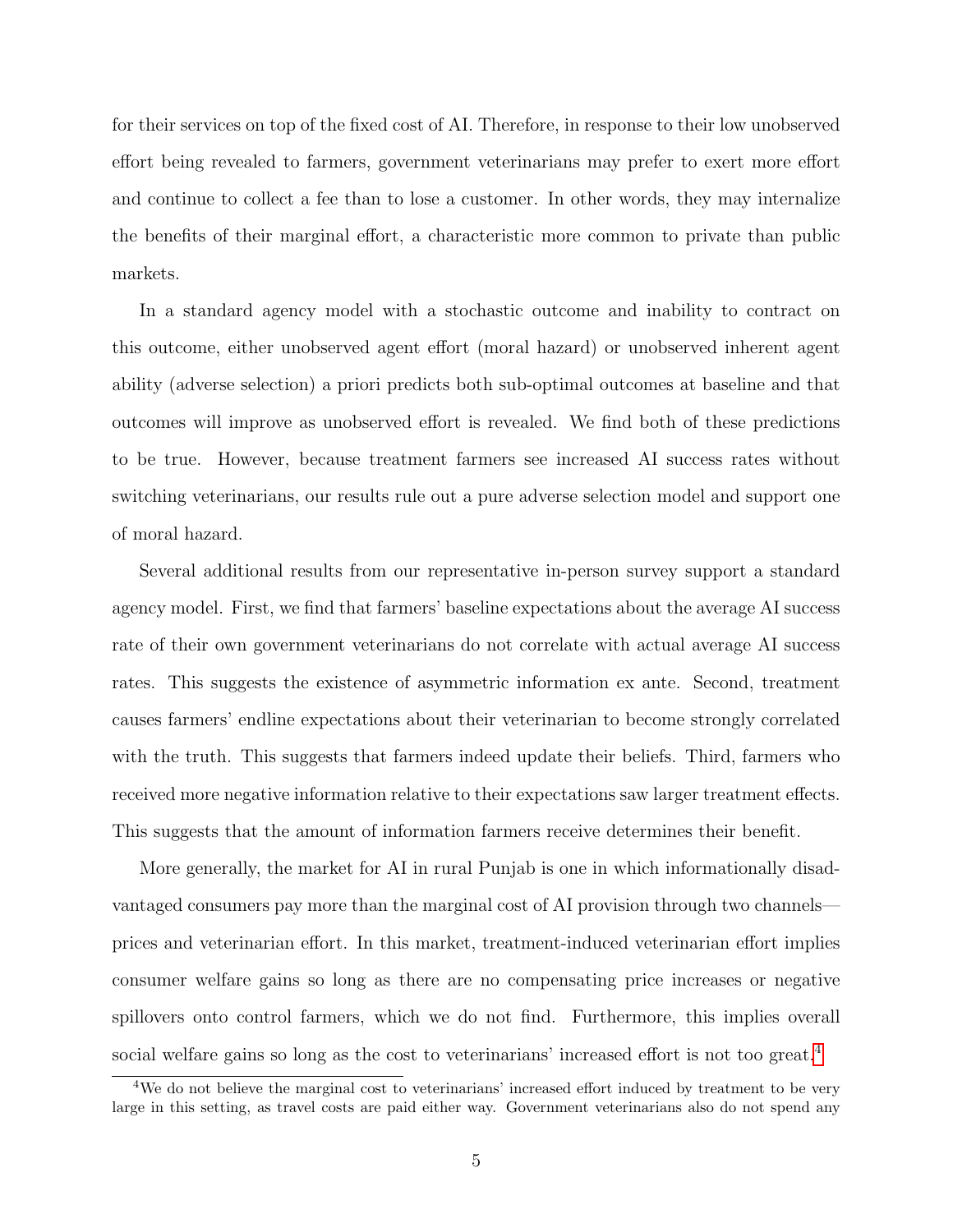for their services on top of the fixed cost of AI. Therefore, in response to their low unobserved effort being revealed to farmers, government veterinarians may prefer to exert more effort and continue to collect a fee than to lose a customer. In other words, they may internalize the benefits of their marginal effort, a characteristic more common to private than public markets.

In a standard agency model with a stochastic outcome and inability to contract on this outcome, either unobserved agent effort (moral hazard) or unobserved inherent agent ability (adverse selection) a priori predicts both sub-optimal outcomes at baseline and that outcomes will improve as unobserved effort is revealed. We find both of these predictions to be true. However, because treatment farmers see increased AI success rates without switching veterinarians, our results rule out a pure adverse selection model and support one of moral hazard.

Several additional results from our representative in-person survey support a standard agency model. First, we find that farmers' baseline expectations about the average AI success rate of their own government veterinarians do not correlate with actual average AI success rates. This suggests the existence of asymmetric information ex ante. Second, treatment causes farmers' endline expectations about their veterinarian to become strongly correlated with the truth. This suggests that farmers indeed update their beliefs. Third, farmers who received more negative information relative to their expectations saw larger treatment effects. This suggests that the amount of information farmers receive determines their benefit.

More generally, the market for AI in rural Punjab is one in which informationally disadvantaged consumers pay more than the marginal cost of AI provision through two channels prices and veterinarian effort. In this market, treatment-induced veterinarian effort implies consumer welfare gains so long as there are no compensating price increases or negative spillovers onto control farmers, which we do not find. Furthermore, this implies overall social welfare gains so long as the cost to veterinarians' increased effort is not too great.<sup>[4](#page-4-0)</sup>

<span id="page-4-0"></span><sup>4</sup>We do not believe the marginal cost to veterinarians' increased effort induced by treatment to be very large in this setting, as travel costs are paid either way. Government veterinarians also do not spend any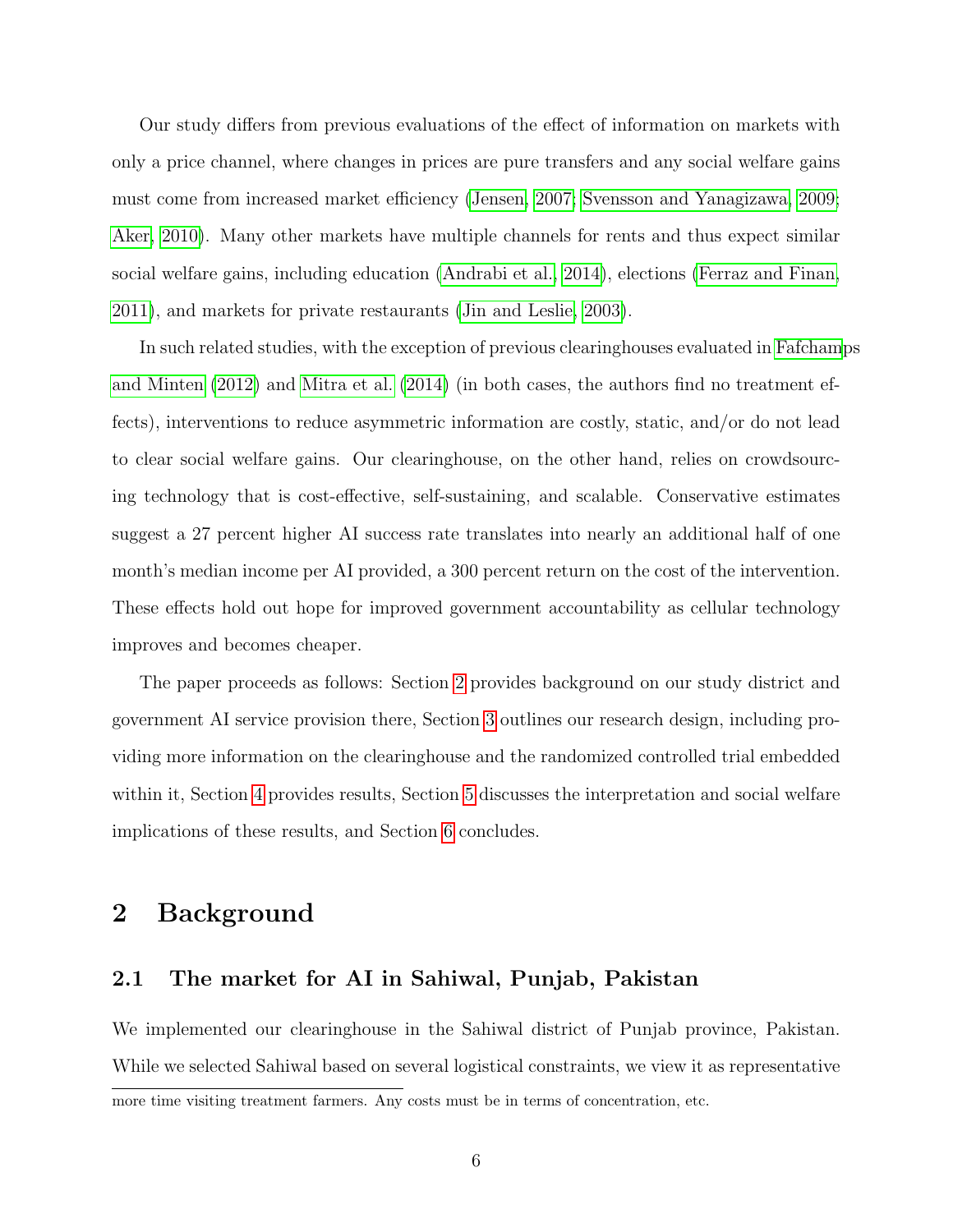Our study differs from previous evaluations of the effect of information on markets with only a price channel, where changes in prices are pure transfers and any social welfare gains must come from increased market efficiency [\(Jensen, 2007;](#page-22-3) [Svensson and Yanagizawa, 2009;](#page-23-3) [Aker, 2010\)](#page-22-4). Many other markets have multiple channels for rents and thus expect similar social welfare gains, including education [\(Andrabi et al., 2014\)](#page-22-8), elections [\(Ferraz and Finan,](#page-22-0) [2011\)](#page-22-0), and markets for private restaurants [\(Jin and Leslie, 2003\)](#page-22-9).

In such related studies, with the exception of previous clearinghouses evaluated in [Fafcham](#page-22-10)ps [and Minten \(2012\)](#page-22-10) and [Mitra et al. \(2014\)](#page-22-11) (in both cases, the authors find no treatment effects), interventions to reduce asymmetric information are costly, static, and/or do not lead to clear social welfare gains. Our clearinghouse, on the other hand, relies on crowdsourcing technology that is cost-effective, self-sustaining, and scalable. Conservative estimates suggest a 27 percent higher AI success rate translates into nearly an additional half of one month's median income per AI provided, a 300 percent return on the cost of the intervention. These effects hold out hope for improved government accountability as cellular technology improves and becomes cheaper.

The paper proceeds as follows: Section [2](#page-5-0) provides background on our study district and government AI service provision there, Section [3](#page-7-0) outlines our research design, including providing more information on the clearinghouse and the randomized controlled trial embedded within it, Section [4](#page-11-0) provides results, Section [5](#page-17-0) discusses the interpretation and social welfare implications of these results, and Section [6](#page-20-0) concludes.

### <span id="page-5-0"></span>2 Background

#### 2.1 The market for AI in Sahiwal, Punjab, Pakistan

We implemented our clearinghouse in the Sahiwal district of Punjab province, Pakistan. While we selected Sahiwal based on several logistical constraints, we view it as representative

more time visiting treatment farmers. Any costs must be in terms of concentration, etc.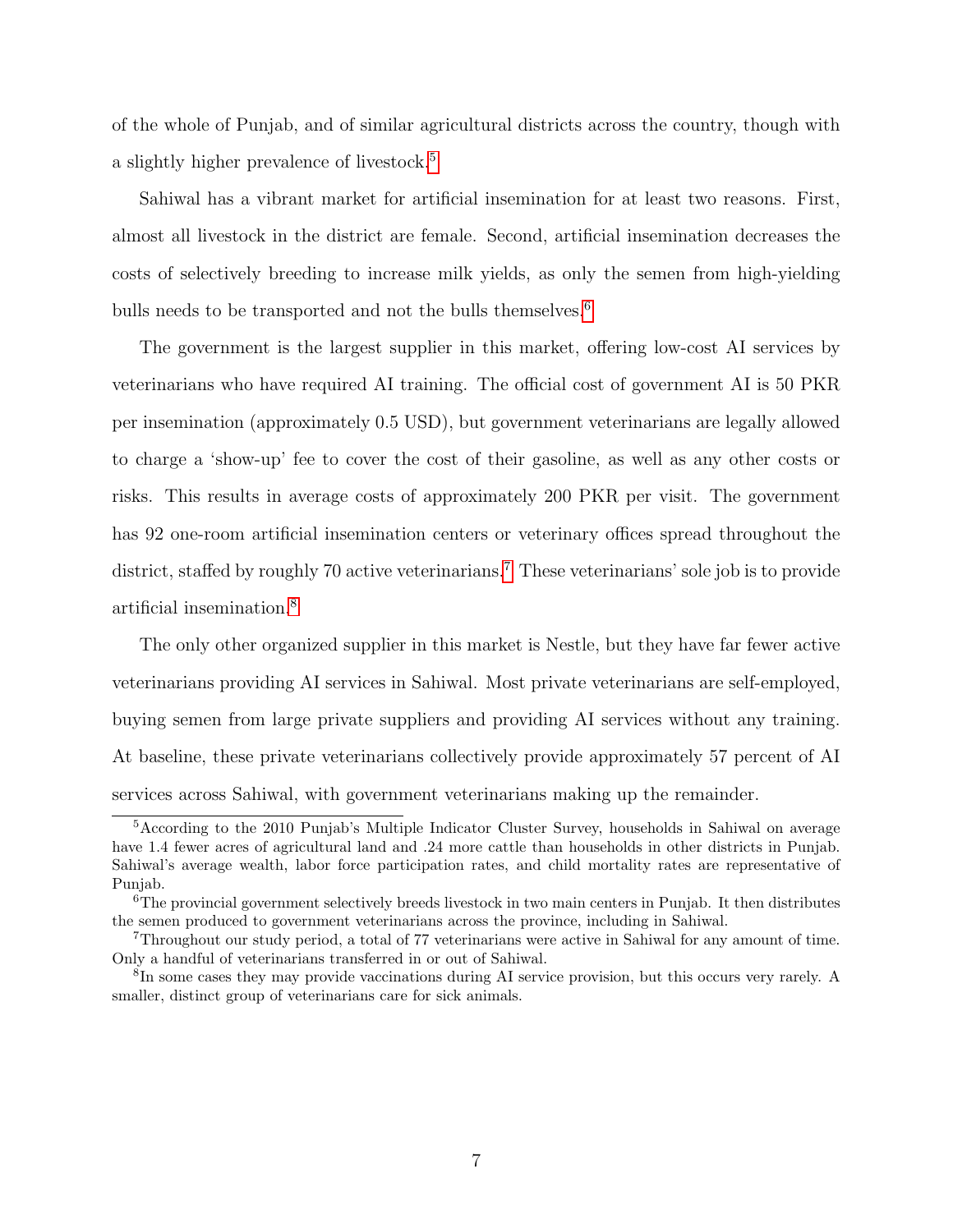of the whole of Punjab, and of similar agricultural districts across the country, though with a slightly higher prevalence of livestock.<sup>[5](#page-6-0)</sup>

Sahiwal has a vibrant market for artificial insemination for at least two reasons. First, almost all livestock in the district are female. Second, artificial insemination decreases the costs of selectively breeding to increase milk yields, as only the semen from high-yielding bulls needs to be transported and not the bulls themselves.<sup>[6](#page-6-1)</sup>

The government is the largest supplier in this market, offering low-cost AI services by veterinarians who have required AI training. The official cost of government AI is 50 PKR per insemination (approximately 0.5 USD), but government veterinarians are legally allowed to charge a 'show-up' fee to cover the cost of their gasoline, as well as any other costs or risks. This results in average costs of approximately 200 PKR per visit. The government has 92 one-room artificial insemination centers or veterinary offices spread throughout the district, staffed by roughly [7](#page-6-2)0 active veterinarians.<sup>7</sup> These veterinarians' sole job is to provide artificial insemination.[8](#page-6-3)

The only other organized supplier in this market is Nestle, but they have far fewer active veterinarians providing AI services in Sahiwal. Most private veterinarians are self-employed, buying semen from large private suppliers and providing AI services without any training. At baseline, these private veterinarians collectively provide approximately 57 percent of AI services across Sahiwal, with government veterinarians making up the remainder.

<span id="page-6-0"></span><sup>5</sup>According to the 2010 Punjab's Multiple Indicator Cluster Survey, households in Sahiwal on average have 1.4 fewer acres of agricultural land and .24 more cattle than households in other districts in Punjab. Sahiwal's average wealth, labor force participation rates, and child mortality rates are representative of Punjab.

<span id="page-6-1"></span><sup>6</sup>The provincial government selectively breeds livestock in two main centers in Punjab. It then distributes the semen produced to government veterinarians across the province, including in Sahiwal.

<span id="page-6-2"></span><sup>7</sup>Throughout our study period, a total of 77 veterinarians were active in Sahiwal for any amount of time. Only a handful of veterinarians transferred in or out of Sahiwal.

<span id="page-6-3"></span><sup>&</sup>lt;sup>8</sup>In some cases they may provide vaccinations during AI service provision, but this occurs very rarely. A smaller, distinct group of veterinarians care for sick animals.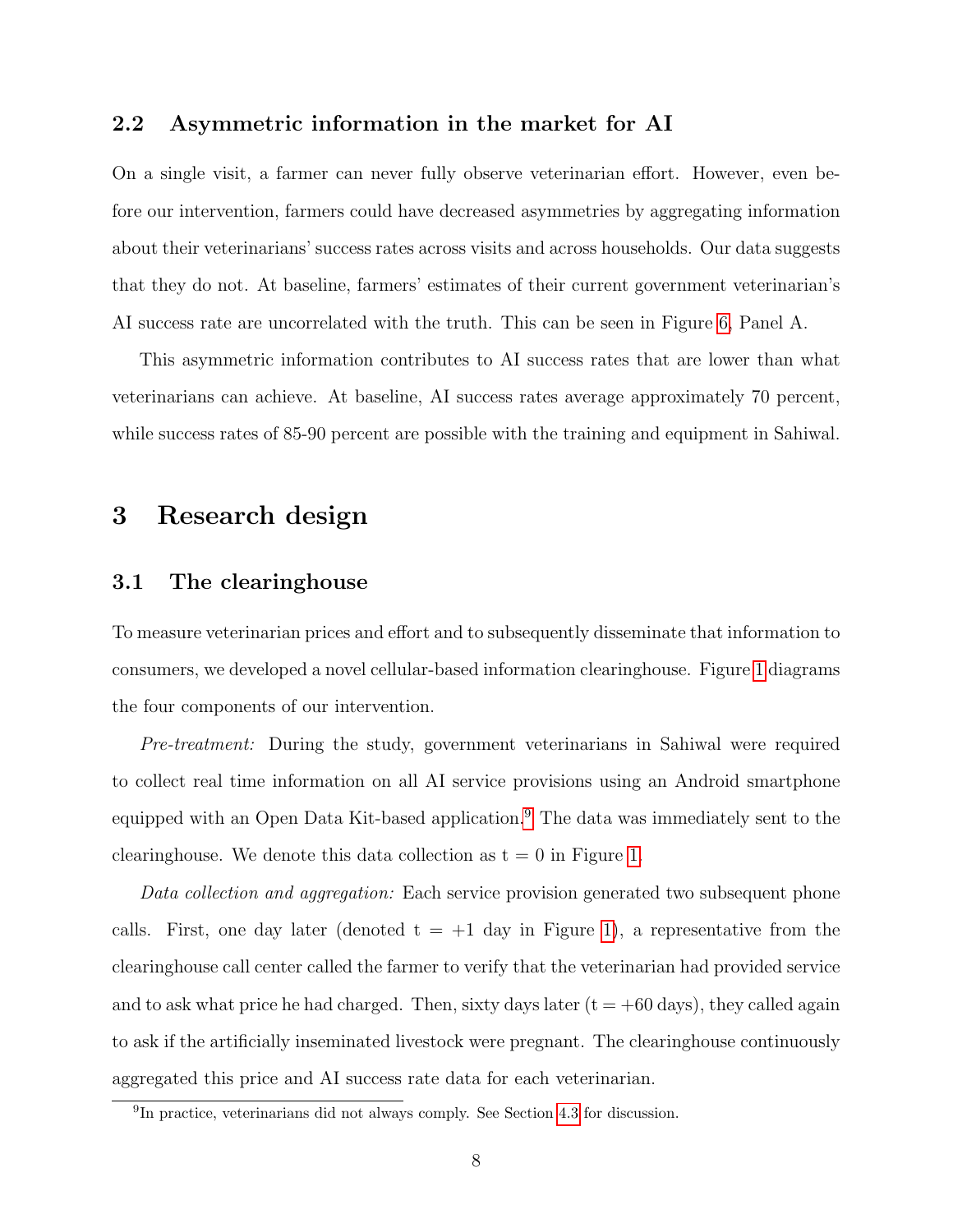#### 2.2 Asymmetric information in the market for AI

On a single visit, a farmer can never fully observe veterinarian effort. However, even before our intervention, farmers could have decreased asymmetries by aggregating information about their veterinarians' success rates across visits and across households. Our data suggests that they do not. At baseline, farmers' estimates of their current government veterinarian's AI success rate are uncorrelated with the truth. This can be seen in Figure [6,](#page-34-0) Panel A.

This asymmetric information contributes to AI success rates that are lower than what veterinarians can achieve. At baseline, AI success rates average approximately 70 percent, while success rates of 85-90 percent are possible with the training and equipment in Sahiwal.

### <span id="page-7-0"></span>3 Research design

#### 3.1 The clearinghouse

To measure veterinarian prices and effort and to subsequently disseminate that information to consumers, we developed a novel cellular-based information clearinghouse. Figure [1](#page-25-0) diagrams the four components of our intervention.

Pre-treatment: During the study, government veterinarians in Sahiwal were required to collect real time information on all AI service provisions using an Android smartphone equipped with an Open Data Kit-based application.<sup>[9](#page-7-1)</sup> The data was immediately sent to the clearinghouse. We denote this data collection as  $t = 0$  in Figure [1.](#page-25-0)

Data collection and aggregation: Each service provision generated two subsequent phone calls. First, one day later (denoted  $t = +1$  day in Figure [1\)](#page-25-0), a representative from the clearinghouse call center called the farmer to verify that the veterinarian had provided service and to ask what price he had charged. Then, sixty days later  $(t = +60 \text{ days})$ , they called again to ask if the artificially inseminated livestock were pregnant. The clearinghouse continuously aggregated this price and AI success rate data for each veterinarian.

<span id="page-7-1"></span><sup>&</sup>lt;sup>9</sup>In practice, veterinarians did not always comply. See Section [4.3](#page-13-0) for discussion.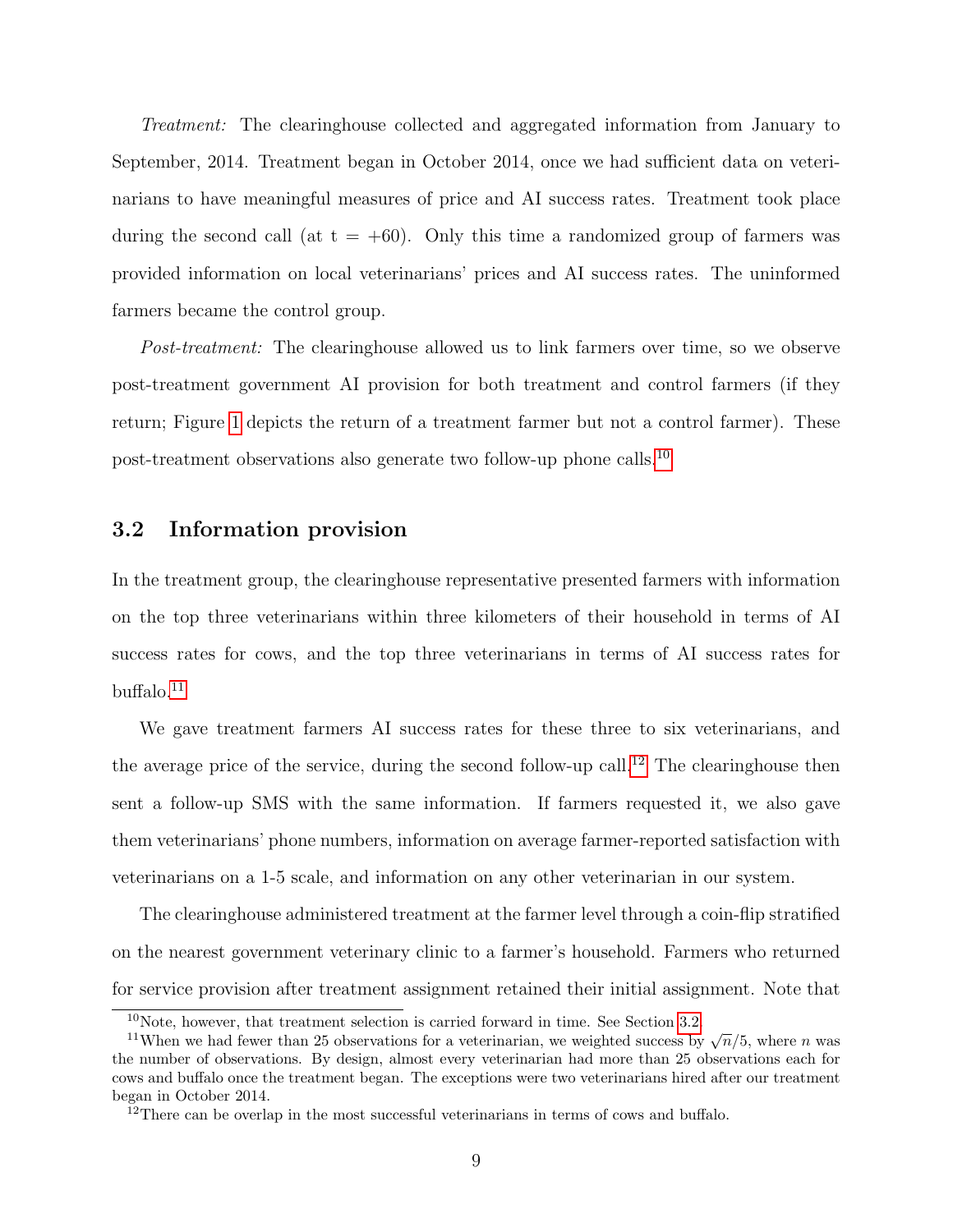Treatment: The clearinghouse collected and aggregated information from January to September, 2014. Treatment began in October 2014, once we had sufficient data on veterinarians to have meaningful measures of price and AI success rates. Treatment took place during the second call (at  $t = +60$ ). Only this time a randomized group of farmers was provided information on local veterinarians' prices and AI success rates. The uninformed farmers became the control group.

Post-treatment: The clearinghouse allowed us to link farmers over time, so we observe post-treatment government AI provision for both treatment and control farmers (if they return; Figure [1](#page-25-0) depicts the return of a treatment farmer but not a control farmer). These post-treatment observations also generate two follow-up phone calls.[10](#page-8-0)

#### <span id="page-8-3"></span>3.2 Information provision

In the treatment group, the clearinghouse representative presented farmers with information on the top three veterinarians within three kilometers of their household in terms of AI success rates for cows, and the top three veterinarians in terms of AI success rates for  $but \text{falo}.^{11}$  $but \text{falo}.^{11}$  $but \text{falo}.^{11}$ 

We gave treatment farmers AI success rates for these three to six veterinarians, and the average price of the service, during the second follow-up call.<sup>[12](#page-8-2)</sup> The clearinghouse then sent a follow-up SMS with the same information. If farmers requested it, we also gave them veterinarians' phone numbers, information on average farmer-reported satisfaction with veterinarians on a 1-5 scale, and information on any other veterinarian in our system.

The clearinghouse administered treatment at the farmer level through a coin-flip stratified on the nearest government veterinary clinic to a farmer's household. Farmers who returned for service provision after treatment assignment retained their initial assignment. Note that

<span id="page-8-1"></span><span id="page-8-0"></span> $10$ Note, however, that treatment selection is carried forward in time. See Section [3.2.](#page-8-3)

The 11 When we had fewer than 25 observations for a veterinarian, we weighted success by  $\sqrt{n}/5$ , where *n* was the number of observations. By design, almost every veterinarian had more than 25 observations each for cows and buffalo once the treatment began. The exceptions were two veterinarians hired after our treatment began in October 2014.

<span id="page-8-2"></span><sup>&</sup>lt;sup>12</sup>There can be overlap in the most successful veterinarians in terms of cows and buffalo.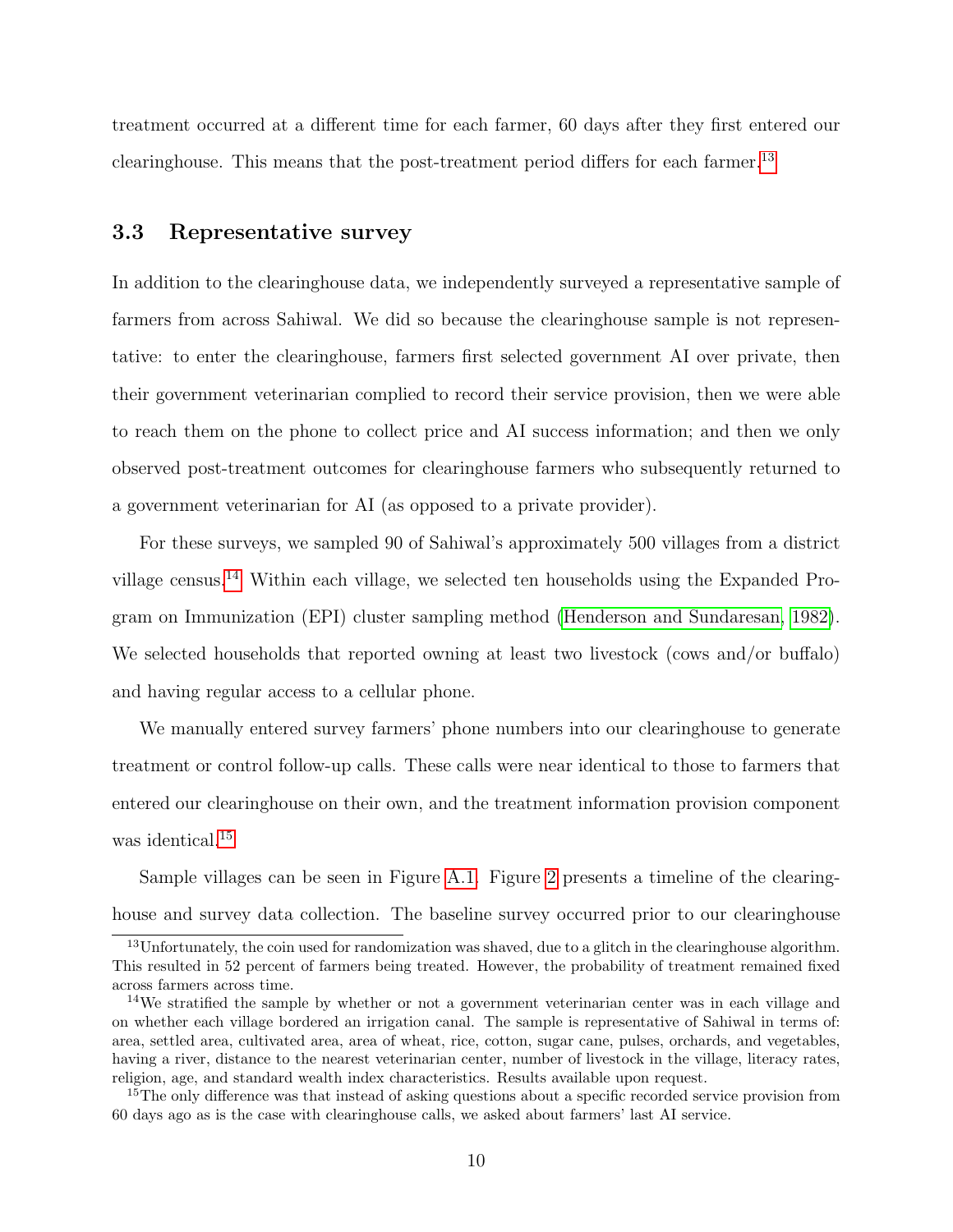treatment occurred at a different time for each farmer, 60 days after they first entered our clearinghouse. This means that the post-treatment period differs for each farmer.<sup>[13](#page-9-0)</sup>

#### 3.3 Representative survey

In addition to the clearinghouse data, we independently surveyed a representative sample of farmers from across Sahiwal. We did so because the clearinghouse sample is not representative: to enter the clearinghouse, farmers first selected government AI over private, then their government veterinarian complied to record their service provision, then we were able to reach them on the phone to collect price and AI success information; and then we only observed post-treatment outcomes for clearinghouse farmers who subsequently returned to a government veterinarian for AI (as opposed to a private provider).

For these surveys, we sampled 90 of Sahiwal's approximately 500 villages from a district village census.[14](#page-9-1) Within each village, we selected ten households using the Expanded Program on Immunization (EPI) cluster sampling method [\(Henderson and Sundaresan, 1982\)](#page-22-12). We selected households that reported owning at least two livestock (cows and/or buffalo) and having regular access to a cellular phone.

We manually entered survey farmers' phone numbers into our clearinghouse to generate treatment or control follow-up calls. These calls were near identical to those to farmers that entered our clearinghouse on their own, and the treatment information provision component was identical.<sup>[15](#page-9-2)</sup>

Sample villages can be seen in Figure [A.1.](#page-36-0) Figure [2](#page-26-0) presents a timeline of the clearinghouse and survey data collection. The baseline survey occurred prior to our clearinghouse

<span id="page-9-0"></span><sup>&</sup>lt;sup>13</sup>Unfortunately, the coin used for randomization was shaved, due to a glitch in the clearinghouse algorithm. This resulted in 52 percent of farmers being treated. However, the probability of treatment remained fixed across farmers across time.

<span id="page-9-1"></span><sup>&</sup>lt;sup>14</sup>We stratified the sample by whether or not a government veterinarian center was in each village and on whether each village bordered an irrigation canal. The sample is representative of Sahiwal in terms of: area, settled area, cultivated area, area of wheat, rice, cotton, sugar cane, pulses, orchards, and vegetables, having a river, distance to the nearest veterinarian center, number of livestock in the village, literacy rates, religion, age, and standard wealth index characteristics. Results available upon request.

<span id="page-9-2"></span><sup>&</sup>lt;sup>15</sup>The only difference was that instead of asking questions about a specific recorded service provision from 60 days ago as is the case with clearinghouse calls, we asked about farmers' last AI service.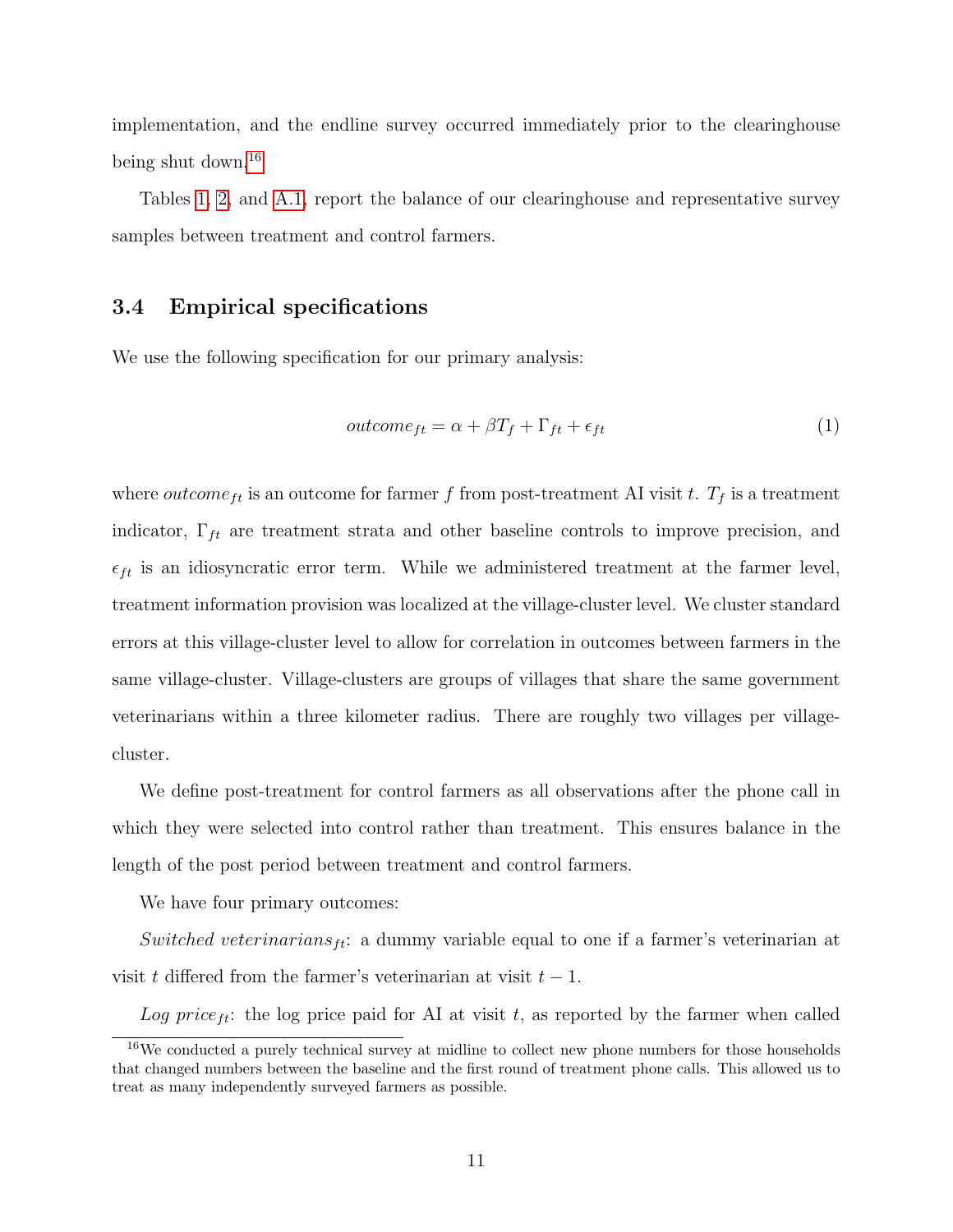implementation, and the endline survey occurred immediately prior to the clearinghouse being shut down.<sup>[16](#page-10-0)</sup>

Tables [1,](#page-24-0) [2,](#page-27-0) and [A.1,](#page-37-0) report the balance of our clearinghouse and representative survey samples between treatment and control farmers.

#### 3.4 Empirical specifications

We use the following specification for our primary analysis:

$$
outcome_{ft} = \alpha + \beta T_f + \Gamma_{ft} + \epsilon_{ft} \tag{1}
$$

where *outcome*<sub>ft</sub> is an outcome for farmer f from post-treatment AI visit t.  $T_f$  is a treatment indicator,  $\Gamma_{ft}$  are treatment strata and other baseline controls to improve precision, and  $\epsilon_{ft}$  is an idiosyncratic error term. While we administered treatment at the farmer level, treatment information provision was localized at the village-cluster level. We cluster standard errors at this village-cluster level to allow for correlation in outcomes between farmers in the same village-cluster. Village-clusters are groups of villages that share the same government veterinarians within a three kilometer radius. There are roughly two villages per villagecluster.

We define post-treatment for control farmers as all observations after the phone call in which they were selected into control rather than treatment. This ensures balance in the length of the post period between treatment and control farmers.

We have four primary outcomes:

Switched veterinarians<sub>ft</sub>: a dummy variable equal to one if a farmer's veterinarian at visit t differed from the farmer's veterinarian at visit  $t - 1$ .

Log price<sub>ft</sub>: the log price paid for AI at visit t, as reported by the farmer when called

<span id="page-10-0"></span><sup>&</sup>lt;sup>16</sup>We conducted a purely technical survey at midline to collect new phone numbers for those households that changed numbers between the baseline and the first round of treatment phone calls. This allowed us to treat as many independently surveyed farmers as possible.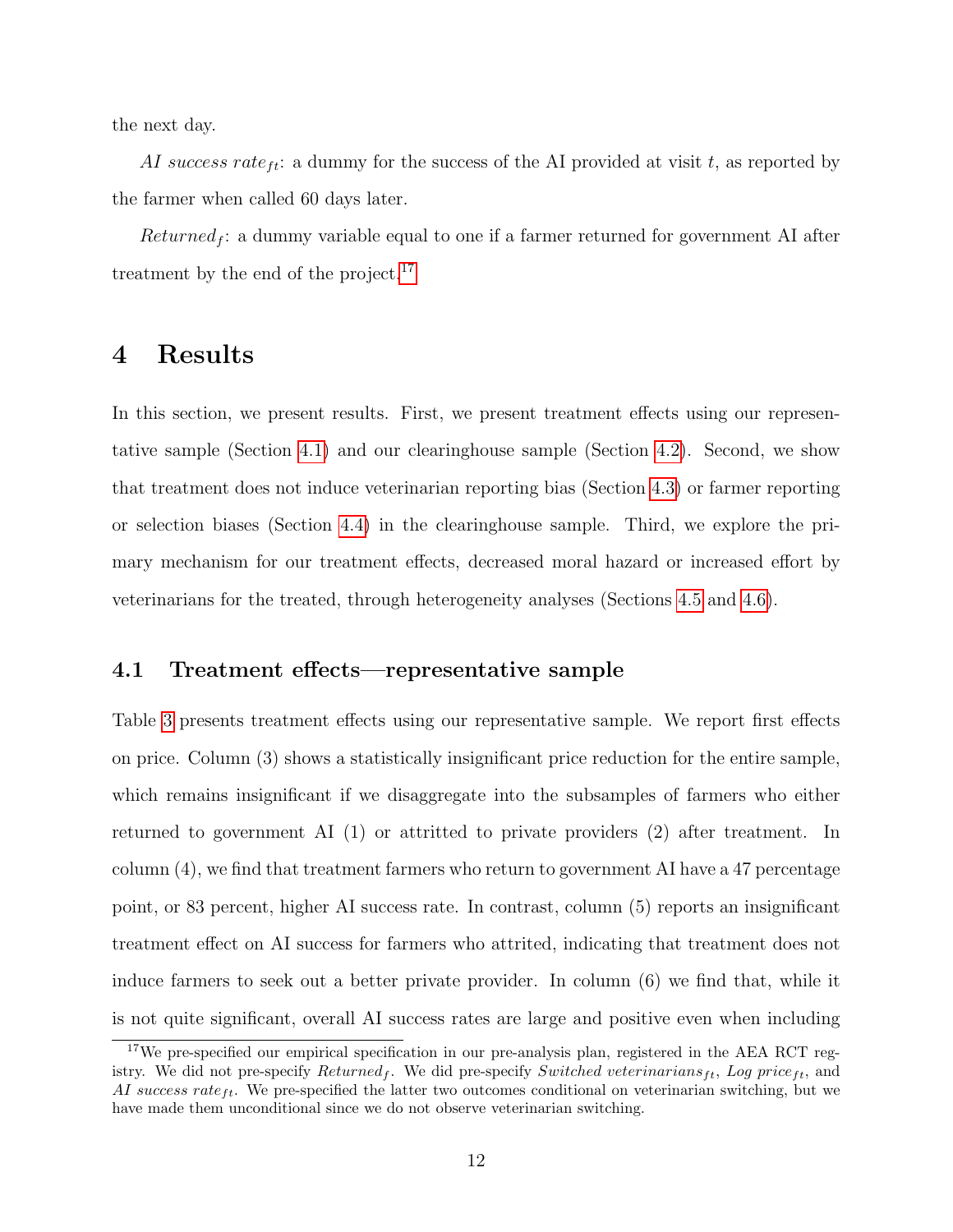the next day.

AI success rate<sub>ft</sub>: a dummy for the success of the AI provided at visit t, as reported by the farmer when called 60 days later.

 $Returned_f$ : a dummy variable equal to one if a farmer returned for government AI after treatment by the end of the project.<sup>[17](#page-11-1)</sup>

## <span id="page-11-0"></span>4 Results

In this section, we present results. First, we present treatment effects using our representative sample (Section [4.1\)](#page-11-2) and our clearinghouse sample (Section [4.2\)](#page-12-0). Second, we show that treatment does not induce veterinarian reporting bias (Section [4.3\)](#page-13-0) or farmer reporting or selection biases (Section [4.4\)](#page-14-0) in the clearinghouse sample. Third, we explore the primary mechanism for our treatment effects, decreased moral hazard or increased effort by veterinarians for the treated, through heterogeneity analyses (Sections [4.5](#page-14-1) and [4.6\)](#page-16-0).

#### <span id="page-11-2"></span>4.1 Treatment effects—representative sample

Table [3](#page-27-1) presents treatment effects using our representative sample. We report first effects on price. Column (3) shows a statistically insignificant price reduction for the entire sample, which remains insignificant if we disaggregate into the subsamples of farmers who either returned to government AI (1) or attritted to private providers (2) after treatment. In column (4), we find that treatment farmers who return to government AI have a 47 percentage point, or 83 percent, higher AI success rate. In contrast, column (5) reports an insignificant treatment effect on AI success for farmers who attrited, indicating that treatment does not induce farmers to seek out a better private provider. In column (6) we find that, while it is not quite significant, overall AI success rates are large and positive even when including

<span id="page-11-1"></span><sup>&</sup>lt;sup>17</sup>We pre-specified our empirical specification in our pre-analysis plan, registered in the AEA RCT registry. We did not pre-specify  $Returned<sub>f</sub>$ . We did pre-specify Switched veterinarians<sub>ft</sub>, Log price<sub>ft</sub>, and AI success rate  $_{tt}$ . We pre-specified the latter two outcomes conditional on veterinarian switching, but we have made them unconditional since we do not observe veterinarian switching.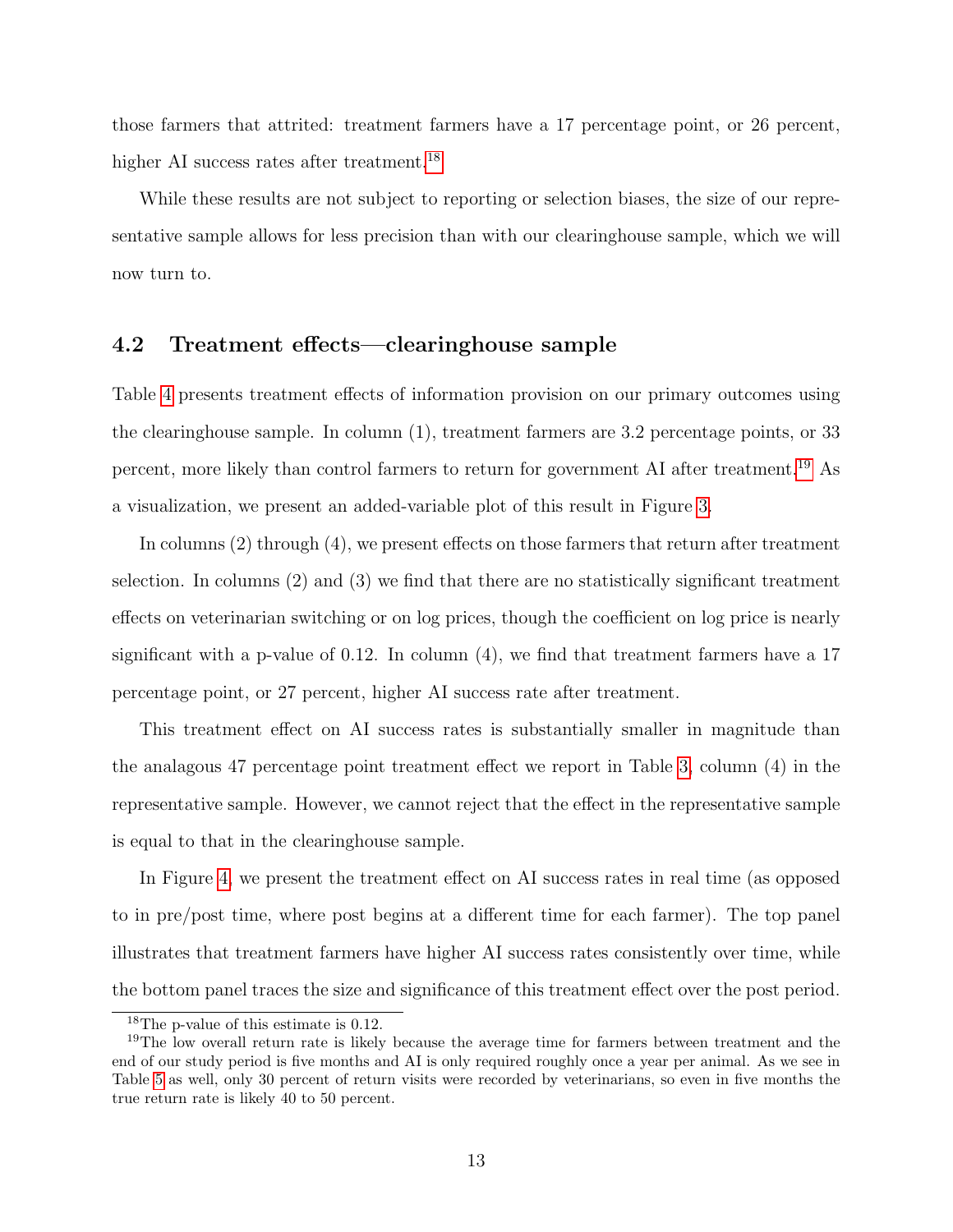those farmers that attrited: treatment farmers have a 17 percentage point, or 26 percent, higher AI success rates after treatment.<sup>[18](#page-12-1)</sup>

While these results are not subject to reporting or selection biases, the size of our representative sample allows for less precision than with our clearinghouse sample, which we will now turn to.

### <span id="page-12-0"></span>4.2 Treatment effects—clearinghouse sample

Table [4](#page-28-0) presents treatment effects of information provision on our primary outcomes using the clearinghouse sample. In column (1), treatment farmers are 3.2 percentage points, or 33 percent, more likely than control farmers to return for government AI after treatment.[19](#page-12-2) As a visualization, we present an added-variable plot of this result in Figure [3.](#page-29-0)

In columns (2) through (4), we present effects on those farmers that return after treatment selection. In columns (2) and (3) we find that there are no statistically significant treatment effects on veterinarian switching or on log prices, though the coefficient on log price is nearly significant with a p-value of 0.12. In column  $(4)$ , we find that treatment farmers have a 17 percentage point, or 27 percent, higher AI success rate after treatment.

This treatment effect on AI success rates is substantially smaller in magnitude than the analagous 47 percentage point treatment effect we report in Table [3,](#page-27-1) column (4) in the representative sample. However, we cannot reject that the effect in the representative sample is equal to that in the clearinghouse sample.

In Figure [4,](#page-30-0) we present the treatment effect on AI success rates in real time (as opposed to in pre/post time, where post begins at a different time for each farmer). The top panel illustrates that treatment farmers have higher AI success rates consistently over time, while the bottom panel traces the size and significance of this treatment effect over the post period.

<span id="page-12-2"></span><span id="page-12-1"></span><sup>18</sup>The p-value of this estimate is 0.12.

<sup>&</sup>lt;sup>19</sup>The low overall return rate is likely because the average time for farmers between treatment and the end of our study period is five months and AI is only required roughly once a year per animal. As we see in Table [5](#page-32-0) as well, only 30 percent of return visits were recorded by veterinarians, so even in five months the true return rate is likely 40 to 50 percent.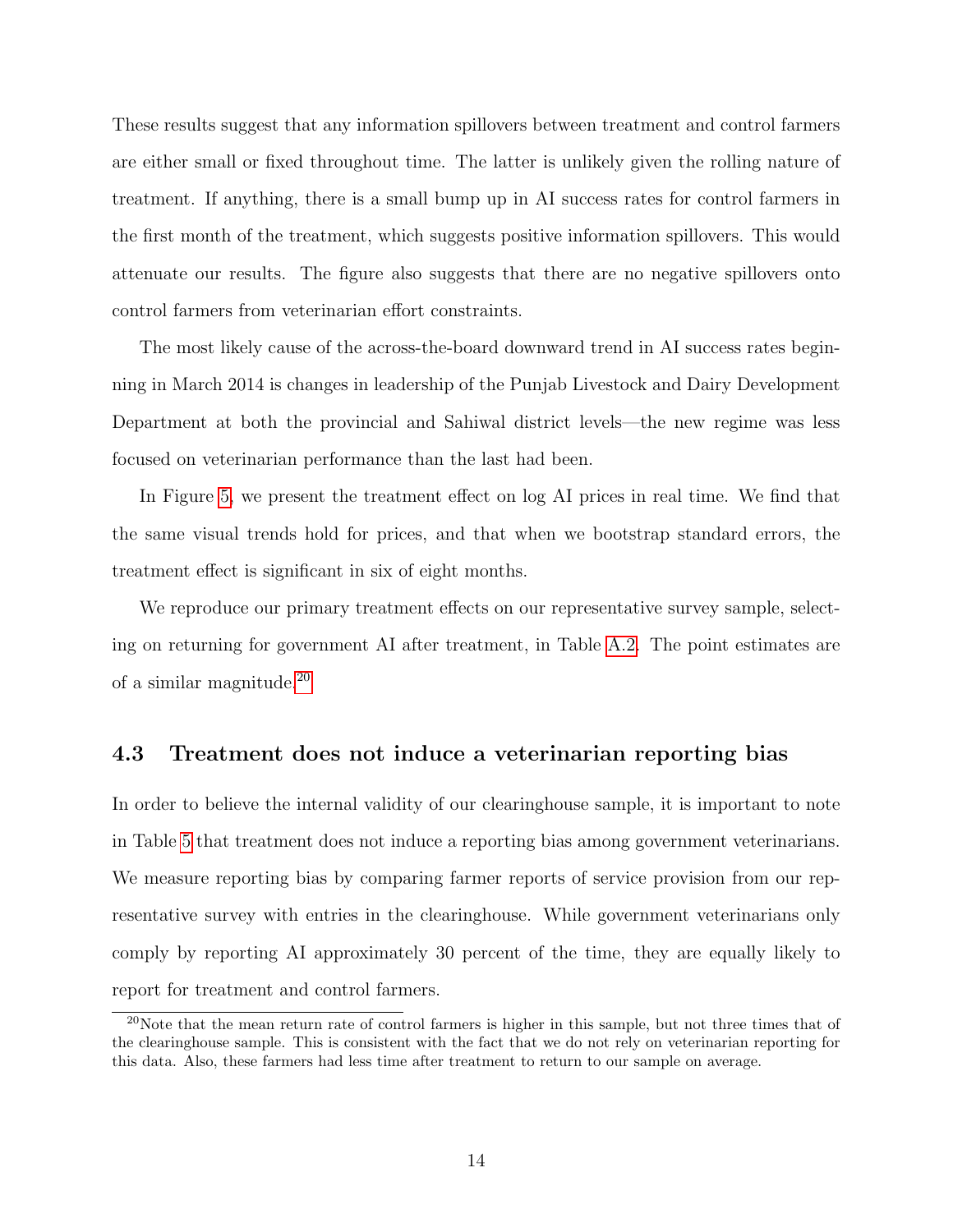These results suggest that any information spillovers between treatment and control farmers are either small or fixed throughout time. The latter is unlikely given the rolling nature of treatment. If anything, there is a small bump up in AI success rates for control farmers in the first month of the treatment, which suggests positive information spillovers. This would attenuate our results. The figure also suggests that there are no negative spillovers onto control farmers from veterinarian effort constraints.

The most likely cause of the across-the-board downward trend in AI success rates beginning in March 2014 is changes in leadership of the Punjab Livestock and Dairy Development Department at both the provincial and Sahiwal district levels—the new regime was less focused on veterinarian performance than the last had been.

In Figure [5,](#page-31-0) we present the treatment effect on log AI prices in real time. We find that the same visual trends hold for prices, and that when we bootstrap standard errors, the treatment effect is significant in six of eight months.

We reproduce our primary treatment effects on our representative survey sample, selecting on returning for government AI after treatment, in Table [A.2.](#page-38-0) The point estimates are of a similar magnitude.[20](#page-13-1)

#### <span id="page-13-0"></span>4.3 Treatment does not induce a veterinarian reporting bias

In order to believe the internal validity of our clearinghouse sample, it is important to note in Table [5](#page-32-0) that treatment does not induce a reporting bias among government veterinarians. We measure reporting bias by comparing farmer reports of service provision from our representative survey with entries in the clearinghouse. While government veterinarians only comply by reporting AI approximately 30 percent of the time, they are equally likely to report for treatment and control farmers.

<span id="page-13-1"></span><sup>20</sup>Note that the mean return rate of control farmers is higher in this sample, but not three times that of the clearinghouse sample. This is consistent with the fact that we do not rely on veterinarian reporting for this data. Also, these farmers had less time after treatment to return to our sample on average.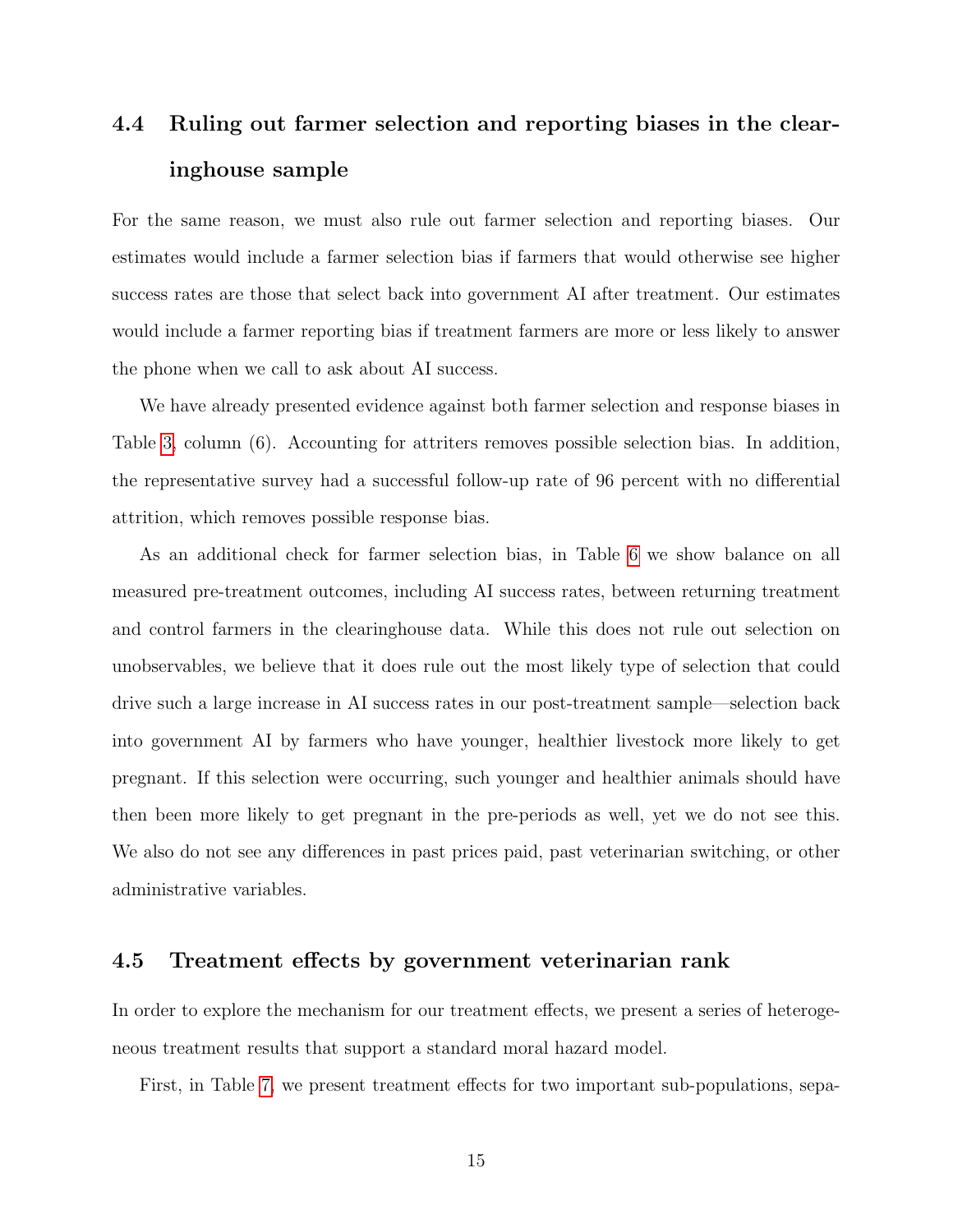## <span id="page-14-0"></span>4.4 Ruling out farmer selection and reporting biases in the clearinghouse sample

For the same reason, we must also rule out farmer selection and reporting biases. Our estimates would include a farmer selection bias if farmers that would otherwise see higher success rates are those that select back into government AI after treatment. Our estimates would include a farmer reporting bias if treatment farmers are more or less likely to answer the phone when we call to ask about AI success.

We have already presented evidence against both farmer selection and response biases in Table [3,](#page-27-1) column (6). Accounting for attriters removes possible selection bias. In addition, the representative survey had a successful follow-up rate of 96 percent with no differential attrition, which removes possible response bias.

As an additional check for farmer selection bias, in Table [6](#page-32-1) we show balance on all measured pre-treatment outcomes, including AI success rates, between returning treatment and control farmers in the clearinghouse data. While this does not rule out selection on unobservables, we believe that it does rule out the most likely type of selection that could drive such a large increase in AI success rates in our post-treatment sample—selection back into government AI by farmers who have younger, healthier livestock more likely to get pregnant. If this selection were occurring, such younger and healthier animals should have then been more likely to get pregnant in the pre-periods as well, yet we do not see this. We also do not see any differences in past prices paid, past veterinarian switching, or other administrative variables.

#### <span id="page-14-1"></span>4.5 Treatment effects by government veterinarian rank

In order to explore the mechanism for our treatment effects, we present a series of heterogeneous treatment results that support a standard moral hazard model.

First, in Table [7,](#page-33-0) we present treatment effects for two important sub-populations, sepa-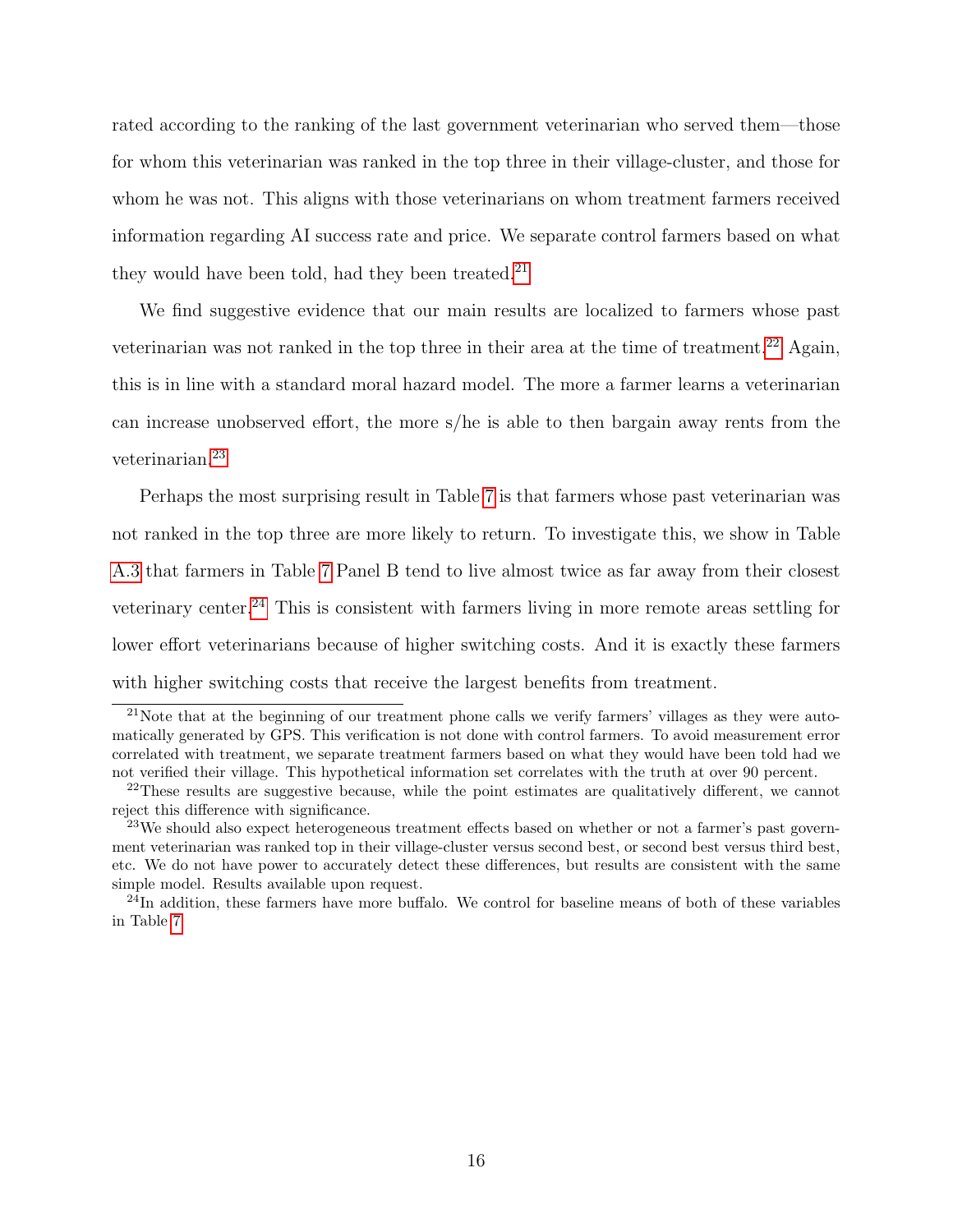rated according to the ranking of the last government veterinarian who served them—those for whom this veterinarian was ranked in the top three in their village-cluster, and those for whom he was not. This aligns with those veterinarians on whom treatment farmers received information regarding AI success rate and price. We separate control farmers based on what they would have been told, had they been treated. $21$ 

We find suggestive evidence that our main results are localized to farmers whose past veterinarian was not ranked in the top three in their area at the time of treatment.<sup>[22](#page-15-1)</sup> Again, this is in line with a standard moral hazard model. The more a farmer learns a veterinarian can increase unobserved effort, the more s/he is able to then bargain away rents from the veterinarian.[23](#page-15-2)

Perhaps the most surprising result in Table [7](#page-33-0) is that farmers whose past veterinarian was not ranked in the top three are more likely to return. To investigate this, we show in Table [A.3](#page-38-1) that farmers in Table [7](#page-33-0) Panel B tend to live almost twice as far away from their closest veterinary center.[24](#page-15-3) This is consistent with farmers living in more remote areas settling for lower effort veterinarians because of higher switching costs. And it is exactly these farmers with higher switching costs that receive the largest benefits from treatment.

<span id="page-15-0"></span><sup>21</sup>Note that at the beginning of our treatment phone calls we verify farmers' villages as they were automatically generated by GPS. This verification is not done with control farmers. To avoid measurement error correlated with treatment, we separate treatment farmers based on what they would have been told had we not verified their village. This hypothetical information set correlates with the truth at over 90 percent.

<span id="page-15-1"></span> $22$ These results are suggestive because, while the point estimates are qualitatively different, we cannot reject this difference with significance.

<span id="page-15-2"></span> $^{23}$ We should also expect heterogeneous treatment effects based on whether or not a farmer's past government veterinarian was ranked top in their village-cluster versus second best, or second best versus third best, etc. We do not have power to accurately detect these differences, but results are consistent with the same simple model. Results available upon request.

<span id="page-15-3"></span> $^{24}$ In addition, these farmers have more buffalo. We control for baseline means of both of these variables in Table [7.](#page-33-0)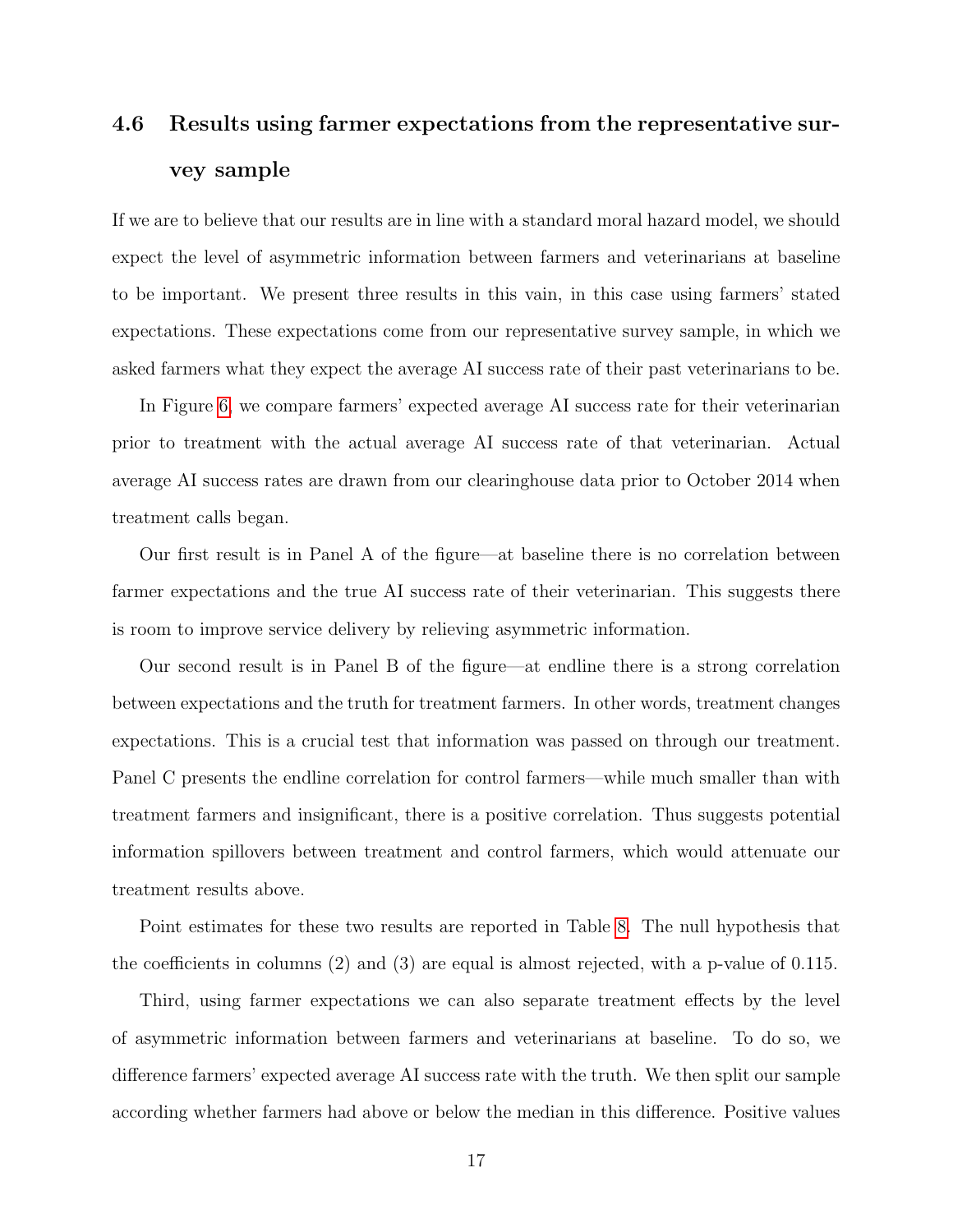# <span id="page-16-0"></span>4.6 Results using farmer expectations from the representative survey sample

If we are to believe that our results are in line with a standard moral hazard model, we should expect the level of asymmetric information between farmers and veterinarians at baseline to be important. We present three results in this vain, in this case using farmers' stated expectations. These expectations come from our representative survey sample, in which we asked farmers what they expect the average AI success rate of their past veterinarians to be.

In Figure [6,](#page-34-0) we compare farmers' expected average AI success rate for their veterinarian prior to treatment with the actual average AI success rate of that veterinarian. Actual average AI success rates are drawn from our clearinghouse data prior to October 2014 when treatment calls began.

Our first result is in Panel A of the figure—at baseline there is no correlation between farmer expectations and the true AI success rate of their veterinarian. This suggests there is room to improve service delivery by relieving asymmetric information.

Our second result is in Panel B of the figure—at endline there is a strong correlation between expectations and the truth for treatment farmers. In other words, treatment changes expectations. This is a crucial test that information was passed on through our treatment. Panel C presents the endline correlation for control farmers—while much smaller than with treatment farmers and insignificant, there is a positive correlation. Thus suggests potential information spillovers between treatment and control farmers, which would attenuate our treatment results above.

Point estimates for these two results are reported in Table [8.](#page-34-1) The null hypothesis that the coefficients in columns (2) and (3) are equal is almost rejected, with a p-value of 0.115.

Third, using farmer expectations we can also separate treatment effects by the level of asymmetric information between farmers and veterinarians at baseline. To do so, we difference farmers' expected average AI success rate with the truth. We then split our sample according whether farmers had above or below the median in this difference. Positive values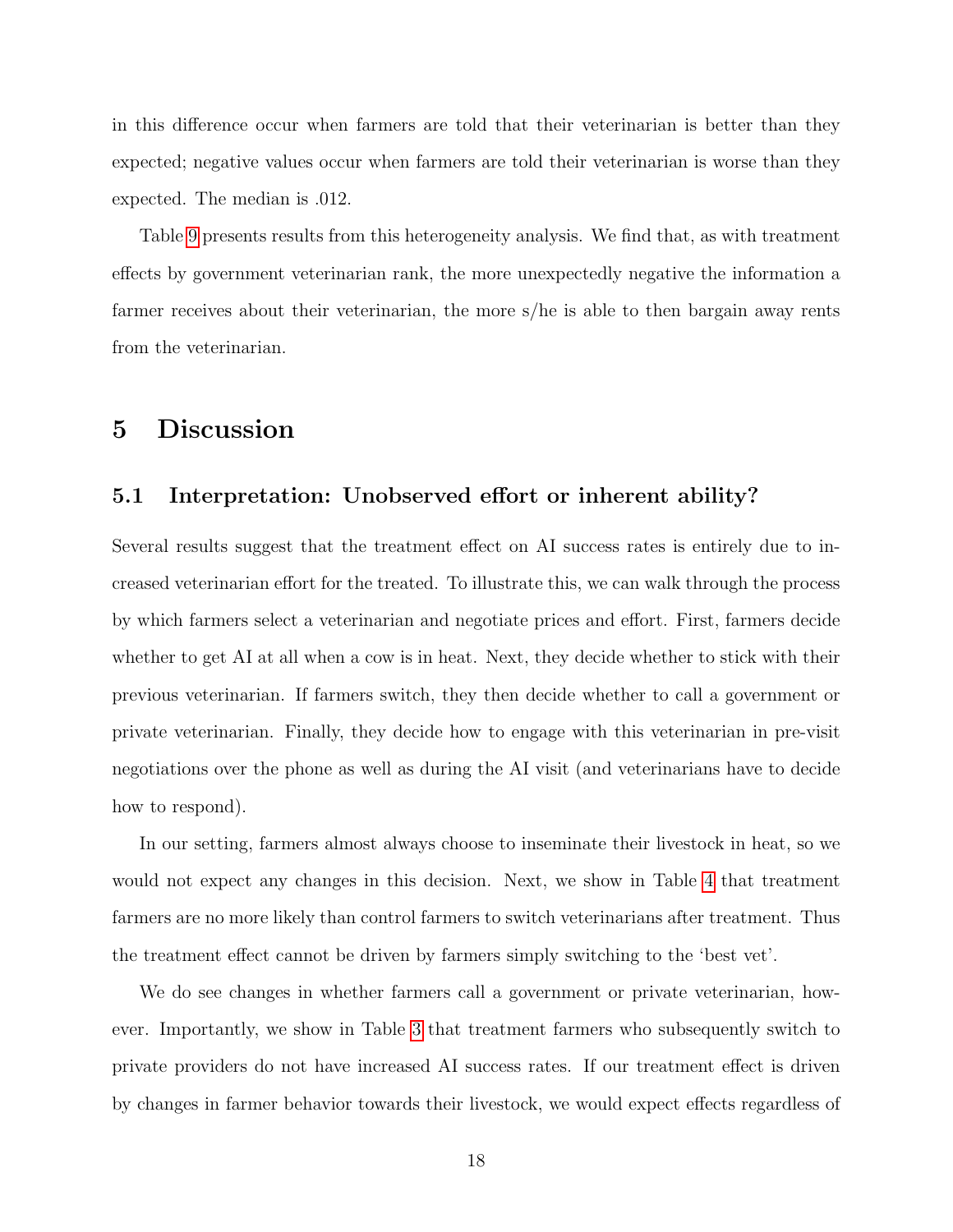in this difference occur when farmers are told that their veterinarian is better than they expected; negative values occur when farmers are told their veterinarian is worse than they expected. The median is .012.

Table [9](#page-35-0) presents results from this heterogeneity analysis. We find that, as with treatment effects by government veterinarian rank, the more unexpectedly negative the information a farmer receives about their veterinarian, the more s/he is able to then bargain away rents from the veterinarian.

### <span id="page-17-0"></span>5 Discussion

#### 5.1 Interpretation: Unobserved effort or inherent ability?

Several results suggest that the treatment effect on AI success rates is entirely due to increased veterinarian effort for the treated. To illustrate this, we can walk through the process by which farmers select a veterinarian and negotiate prices and effort. First, farmers decide whether to get AI at all when a cow is in heat. Next, they decide whether to stick with their previous veterinarian. If farmers switch, they then decide whether to call a government or private veterinarian. Finally, they decide how to engage with this veterinarian in pre-visit negotiations over the phone as well as during the AI visit (and veterinarians have to decide how to respond).

In our setting, farmers almost always choose to inseminate their livestock in heat, so we would not expect any changes in this decision. Next, we show in Table [4](#page-28-0) that treatment farmers are no more likely than control farmers to switch veterinarians after treatment. Thus the treatment effect cannot be driven by farmers simply switching to the 'best vet'.

We do see changes in whether farmers call a government or private veterinarian, however. Importantly, we show in Table [3](#page-27-1) that treatment farmers who subsequently switch to private providers do not have increased AI success rates. If our treatment effect is driven by changes in farmer behavior towards their livestock, we would expect effects regardless of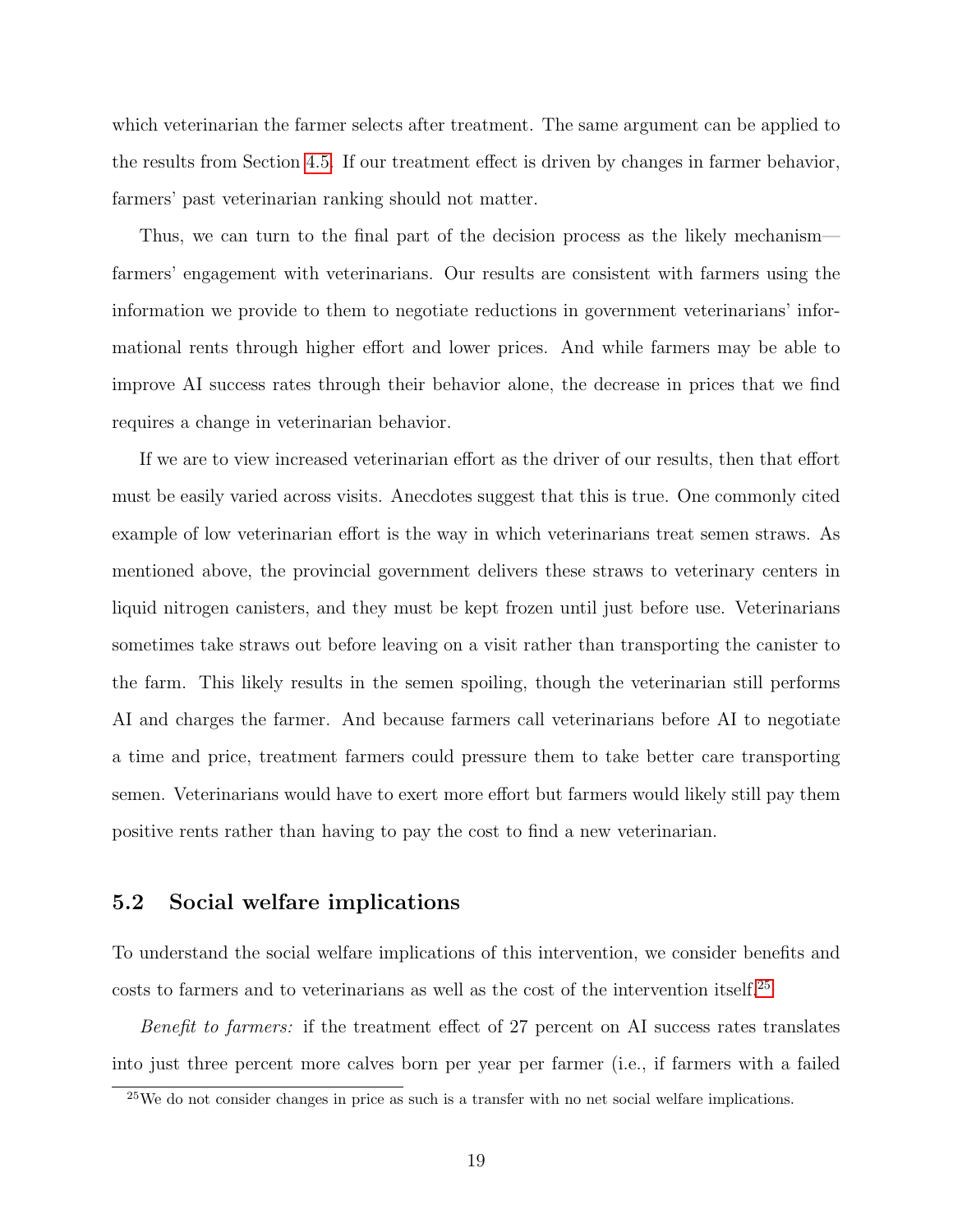which veterinarian the farmer selects after treatment. The same argument can be applied to the results from Section [4.5.](#page-14-1) If our treatment effect is driven by changes in farmer behavior, farmers' past veterinarian ranking should not matter.

Thus, we can turn to the final part of the decision process as the likely mechanism farmers' engagement with veterinarians. Our results are consistent with farmers using the information we provide to them to negotiate reductions in government veterinarians' informational rents through higher effort and lower prices. And while farmers may be able to improve AI success rates through their behavior alone, the decrease in prices that we find requires a change in veterinarian behavior.

If we are to view increased veterinarian effort as the driver of our results, then that effort must be easily varied across visits. Anecdotes suggest that this is true. One commonly cited example of low veterinarian effort is the way in which veterinarians treat semen straws. As mentioned above, the provincial government delivers these straws to veterinary centers in liquid nitrogen canisters, and they must be kept frozen until just before use. Veterinarians sometimes take straws out before leaving on a visit rather than transporting the canister to the farm. This likely results in the semen spoiling, though the veterinarian still performs AI and charges the farmer. And because farmers call veterinarians before AI to negotiate a time and price, treatment farmers could pressure them to take better care transporting semen. Veterinarians would have to exert more effort but farmers would likely still pay them positive rents rather than having to pay the cost to find a new veterinarian.

### 5.2 Social welfare implications

To understand the social welfare implications of this intervention, we consider benefits and costs to farmers and to veterinarians as well as the cost of the intervention itself.<sup>[25](#page-18-0)</sup>

Benefit to farmers: if the treatment effect of 27 percent on AI success rates translates into just three percent more calves born per year per farmer (i.e., if farmers with a failed

<span id="page-18-0"></span> $25$ We do not consider changes in price as such is a transfer with no net social welfare implications.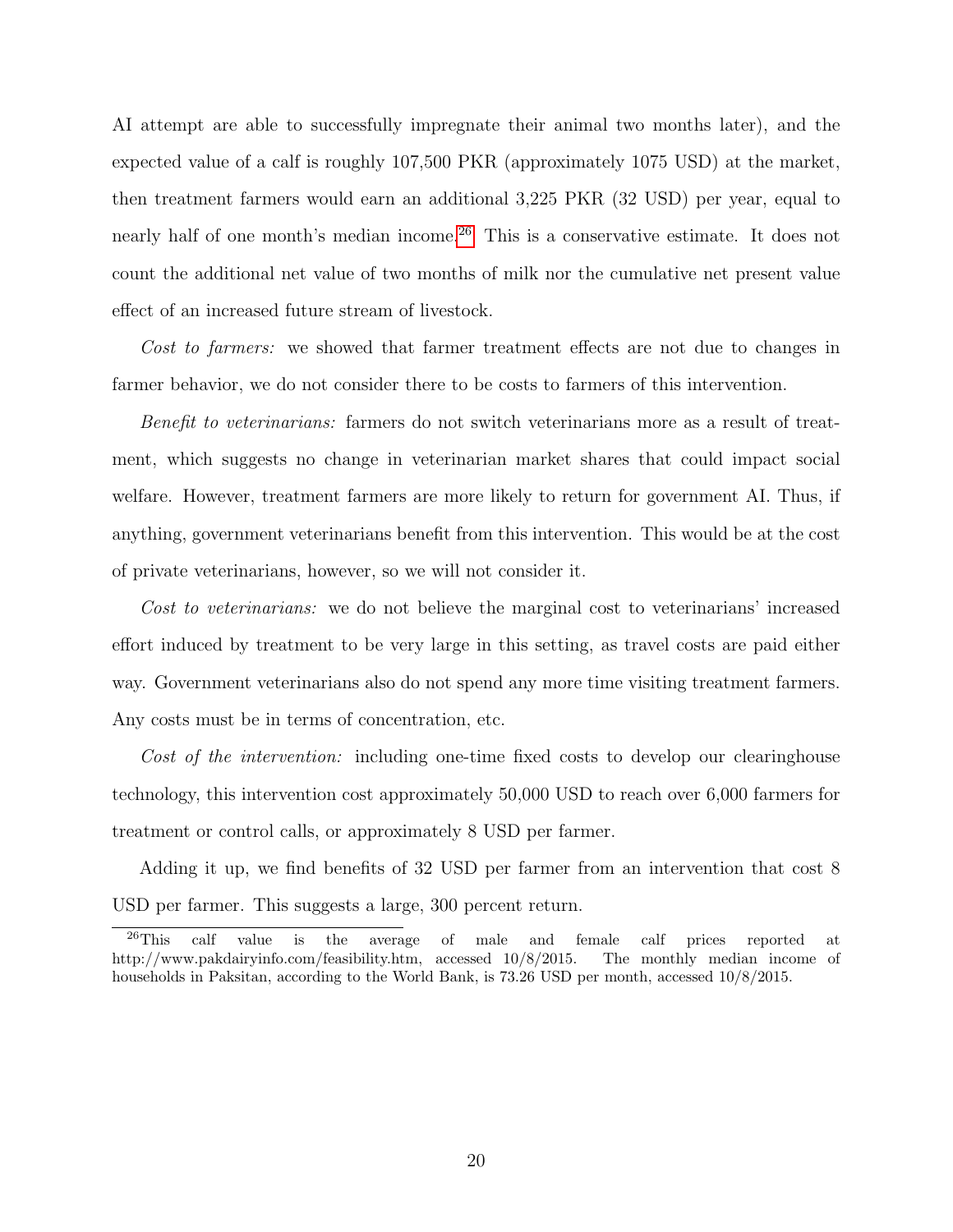AI attempt are able to successfully impregnate their animal two months later), and the expected value of a calf is roughly 107,500 PKR (approximately 1075 USD) at the market, then treatment farmers would earn an additional 3,225 PKR (32 USD) per year, equal to nearly half of one month's median income.<sup>[26](#page-19-0)</sup> This is a conservative estimate. It does not count the additional net value of two months of milk nor the cumulative net present value effect of an increased future stream of livestock.

Cost to farmers: we showed that farmer treatment effects are not due to changes in farmer behavior, we do not consider there to be costs to farmers of this intervention.

Benefit to veterinarians: farmers do not switch veterinarians more as a result of treatment, which suggests no change in veterinarian market shares that could impact social welfare. However, treatment farmers are more likely to return for government AI. Thus, if anything, government veterinarians benefit from this intervention. This would be at the cost of private veterinarians, however, so we will not consider it.

Cost to veterinarians: we do not believe the marginal cost to veterinarians' increased effort induced by treatment to be very large in this setting, as travel costs are paid either way. Government veterinarians also do not spend any more time visiting treatment farmers. Any costs must be in terms of concentration, etc.

Cost of the intervention: including one-time fixed costs to develop our clearinghouse technology, this intervention cost approximately 50,000 USD to reach over 6,000 farmers for treatment or control calls, or approximately 8 USD per farmer.

Adding it up, we find benefits of 32 USD per farmer from an intervention that cost 8 USD per farmer. This suggests a large, 300 percent return.

<span id="page-19-0"></span> $^{26}$ This calf value is the average of male and female calf prices reported at http://www.pakdairyinfo.com/feasibility.htm, accessed 10/8/2015. The monthly median income of households in Paksitan, according to the World Bank, is 73.26 USD per month, accessed 10/8/2015.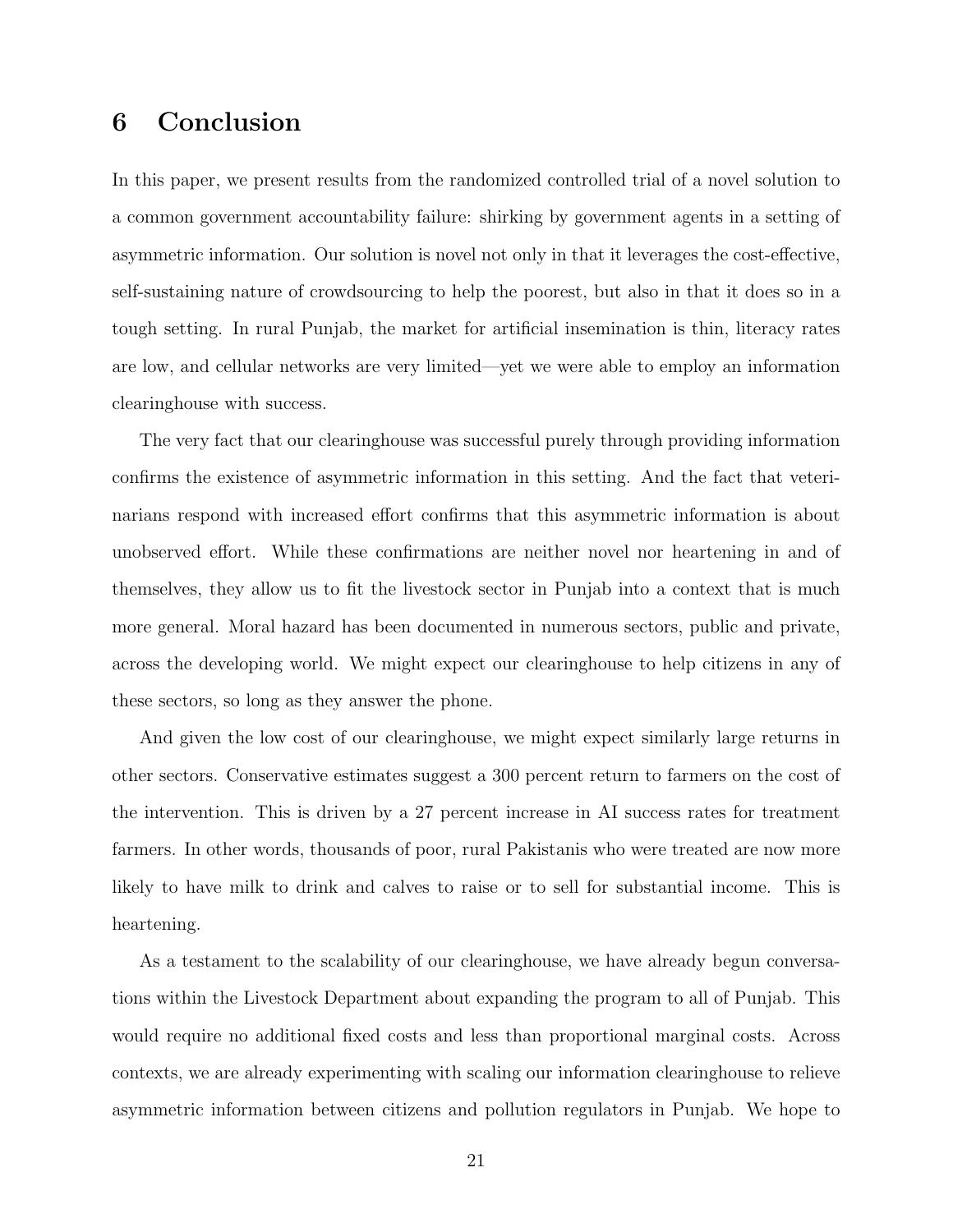## <span id="page-20-0"></span>6 Conclusion

In this paper, we present results from the randomized controlled trial of a novel solution to a common government accountability failure: shirking by government agents in a setting of asymmetric information. Our solution is novel not only in that it leverages the cost-effective, self-sustaining nature of crowdsourcing to help the poorest, but also in that it does so in a tough setting. In rural Punjab, the market for artificial insemination is thin, literacy rates are low, and cellular networks are very limited—yet we were able to employ an information clearinghouse with success.

The very fact that our clearinghouse was successful purely through providing information confirms the existence of asymmetric information in this setting. And the fact that veterinarians respond with increased effort confirms that this asymmetric information is about unobserved effort. While these confirmations are neither novel nor heartening in and of themselves, they allow us to fit the livestock sector in Punjab into a context that is much more general. Moral hazard has been documented in numerous sectors, public and private, across the developing world. We might expect our clearinghouse to help citizens in any of these sectors, so long as they answer the phone.

And given the low cost of our clearinghouse, we might expect similarly large returns in other sectors. Conservative estimates suggest a 300 percent return to farmers on the cost of the intervention. This is driven by a 27 percent increase in AI success rates for treatment farmers. In other words, thousands of poor, rural Pakistanis who were treated are now more likely to have milk to drink and calves to raise or to sell for substantial income. This is heartening.

As a testament to the scalability of our clearinghouse, we have already begun conversations within the Livestock Department about expanding the program to all of Punjab. This would require no additional fixed costs and less than proportional marginal costs. Across contexts, we are already experimenting with scaling our information clearinghouse to relieve asymmetric information between citizens and pollution regulators in Punjab. We hope to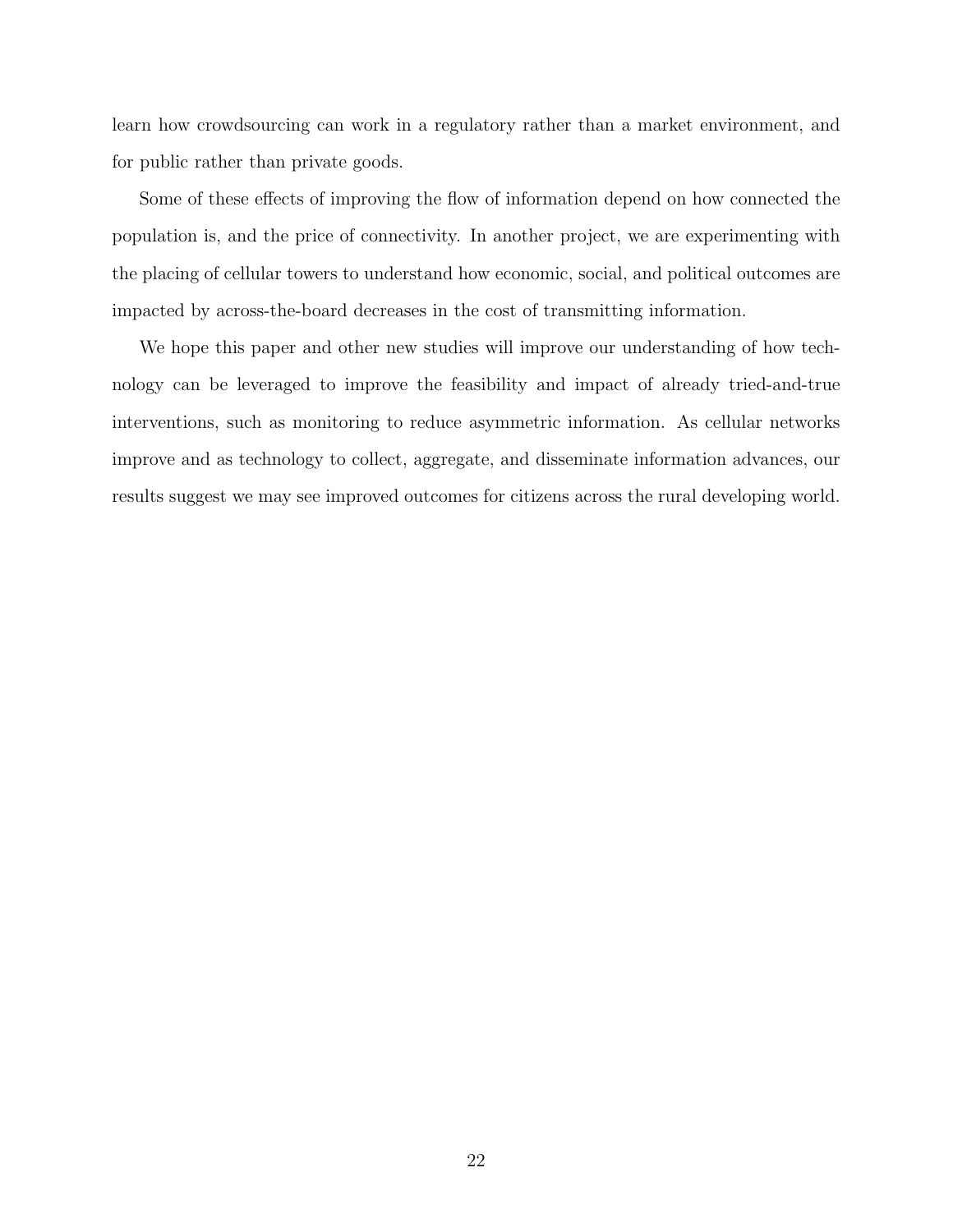learn how crowdsourcing can work in a regulatory rather than a market environment, and for public rather than private goods.

Some of these effects of improving the flow of information depend on how connected the population is, and the price of connectivity. In another project, we are experimenting with the placing of cellular towers to understand how economic, social, and political outcomes are impacted by across-the-board decreases in the cost of transmitting information.

We hope this paper and other new studies will improve our understanding of how technology can be leveraged to improve the feasibility and impact of already tried-and-true interventions, such as monitoring to reduce asymmetric information. As cellular networks improve and as technology to collect, aggregate, and disseminate information advances, our results suggest we may see improved outcomes for citizens across the rural developing world.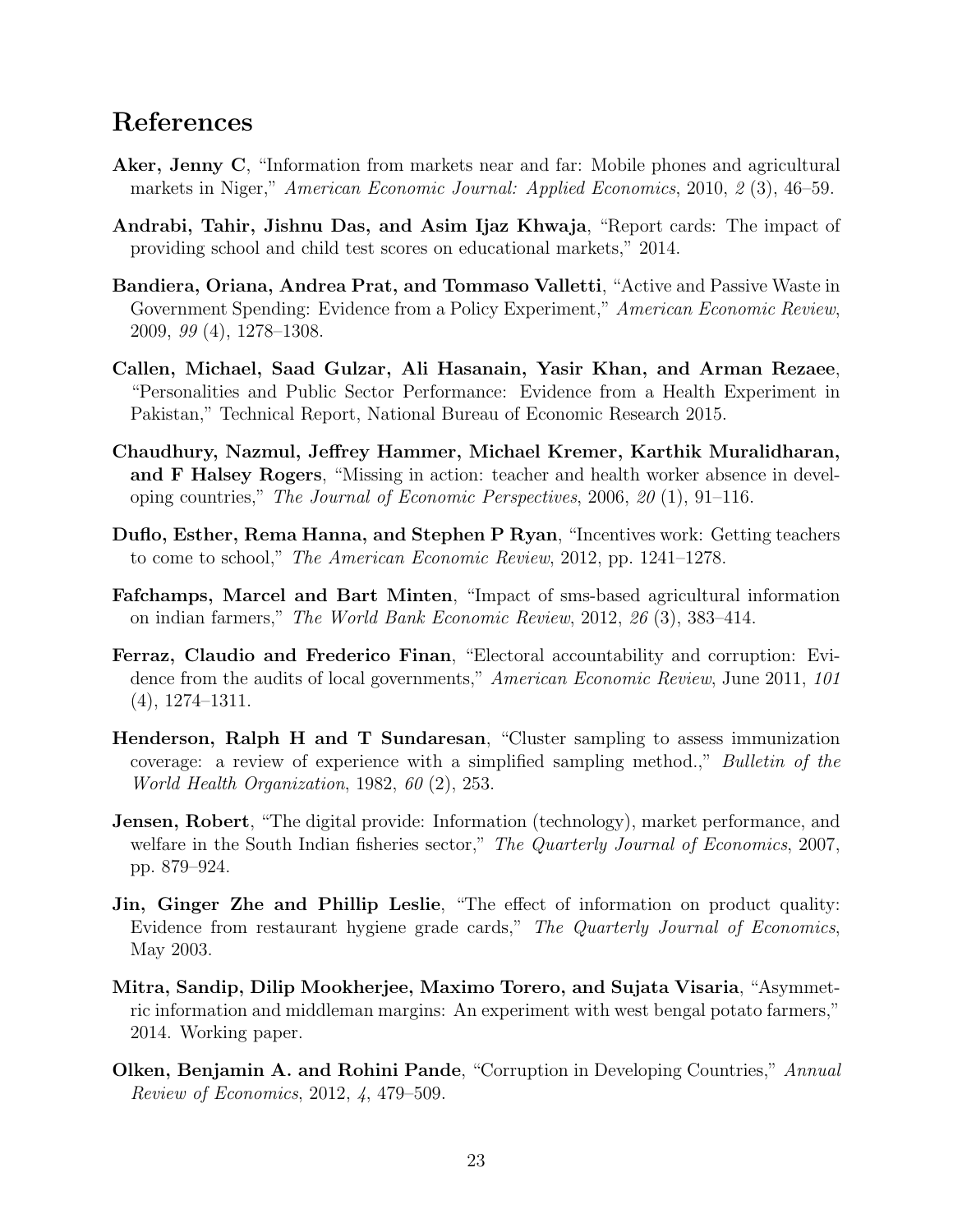### References

- <span id="page-22-4"></span>Aker, Jenny C, "Information from markets near and far: Mobile phones and agricultural markets in Niger," American Economic Journal: Applied Economics, 2010, 2 (3), 46–59.
- <span id="page-22-8"></span>Andrabi, Tahir, Jishnu Das, and Asim Ijaz Khwaja, "Report cards: The impact of providing school and child test scores on educational markets," 2014.
- <span id="page-22-1"></span>Bandiera, Oriana, Andrea Prat, and Tommaso Valletti, "Active and Passive Waste in Government Spending: Evidence from a Policy Experiment," American Economic Review, 2009, 99 (4), 1278–1308.
- <span id="page-22-7"></span>Callen, Michael, Saad Gulzar, Ali Hasanain, Yasir Khan, and Arman Rezaee, "Personalities and Public Sector Performance: Evidence from a Health Experiment in Pakistan," Technical Report, National Bureau of Economic Research 2015.
- <span id="page-22-2"></span>Chaudhury, Nazmul, Jeffrey Hammer, Michael Kremer, Karthik Muralidharan, and F Halsey Rogers, "Missing in action: teacher and health worker absence in developing countries," The Journal of Economic Perspectives, 2006, 20 (1), 91–116.
- <span id="page-22-5"></span>Duflo, Esther, Rema Hanna, and Stephen P Ryan, "Incentives work: Getting teachers to come to school," The American Economic Review, 2012, pp. 1241–1278.
- <span id="page-22-10"></span>Fafchamps, Marcel and Bart Minten, "Impact of sms-based agricultural information on indian farmers," The World Bank Economic Review, 2012, 26 (3), 383–414.
- <span id="page-22-0"></span>Ferraz, Claudio and Frederico Finan, "Electoral accountability and corruption: Evidence from the audits of local governments," American Economic Review, June 2011, 101 (4), 1274–1311.
- <span id="page-22-12"></span>Henderson, Ralph H and T Sundaresan, "Cluster sampling to assess immunization coverage: a review of experience with a simplified sampling method.," Bulletin of the World Health Organization, 1982, 60 (2), 253.
- <span id="page-22-3"></span>**Jensen, Robert**, "The digital provide: Information (technology), market performance, and welfare in the South Indian fisheries sector," The Quarterly Journal of Economics, 2007, pp. 879–924.
- <span id="page-22-9"></span>Jin, Ginger Zhe and Phillip Leslie, "The effect of information on product quality: Evidence from restaurant hygiene grade cards," The Quarterly Journal of Economics, May 2003.
- <span id="page-22-11"></span>Mitra, Sandip, Dilip Mookherjee, Maximo Torero, and Sujata Visaria, "Asymmetric information and middleman margins: An experiment with west bengal potato farmers," 2014. Working paper.
- <span id="page-22-6"></span>**Olken, Benjamin A. and Rohini Pande**, "Corruption in Developing Countries," Annual Review of Economics, 2012, 4, 479–509.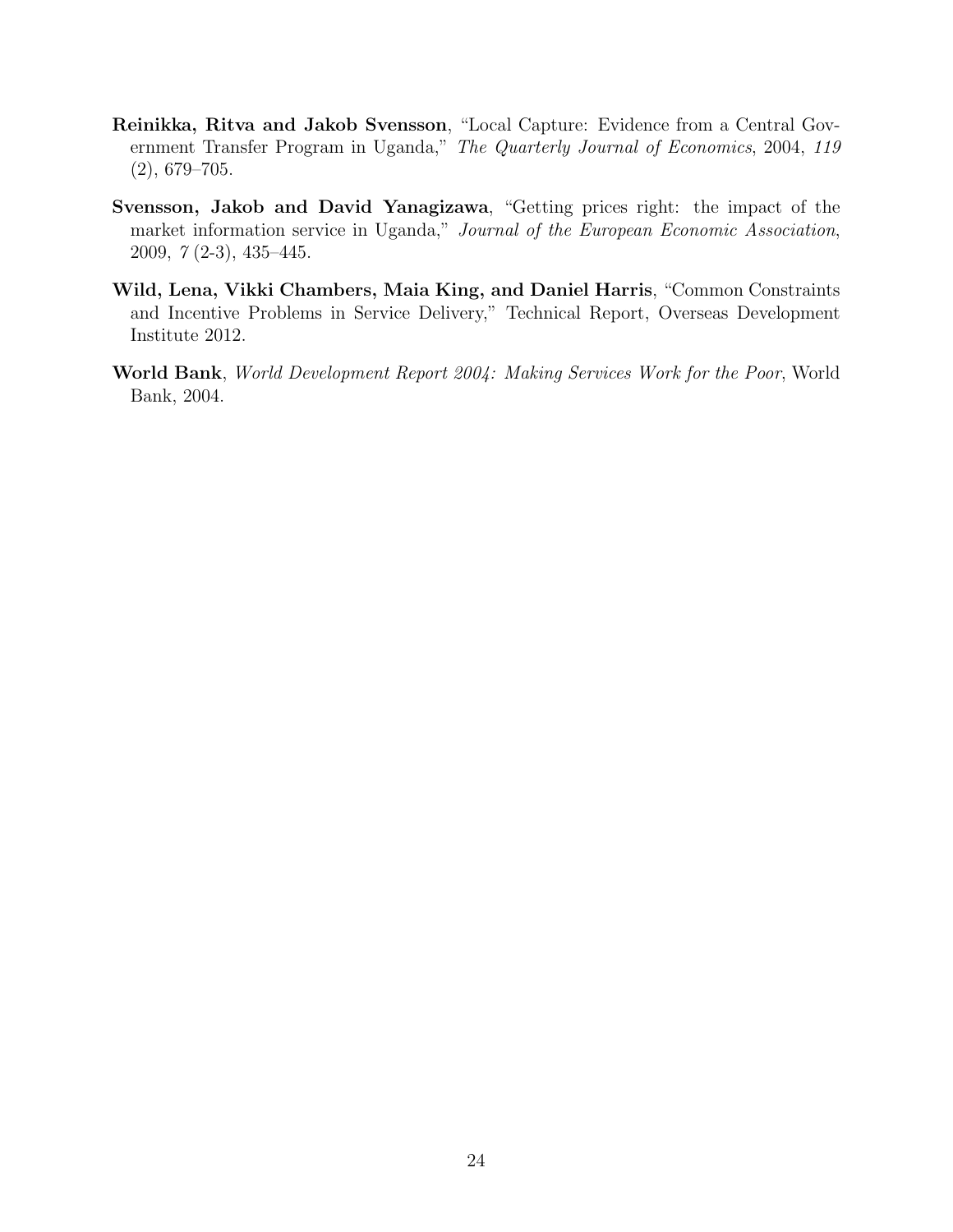- <span id="page-23-2"></span>Reinikka, Ritva and Jakob Svensson, "Local Capture: Evidence from a Central Government Transfer Program in Uganda," The Quarterly Journal of Economics, 2004, 119 (2), 679–705.
- <span id="page-23-3"></span>Svensson, Jakob and David Yanagizawa, "Getting prices right: the impact of the market information service in Uganda," Journal of the European Economic Association, 2009, 7 (2-3), 435–445.
- <span id="page-23-1"></span>Wild, Lena, Vikki Chambers, Maia King, and Daniel Harris, "Common Constraints and Incentive Problems in Service Delivery," Technical Report, Overseas Development Institute 2012.
- <span id="page-23-0"></span>World Bank, World Development Report 2004: Making Services Work for the Poor, World Bank, 2004.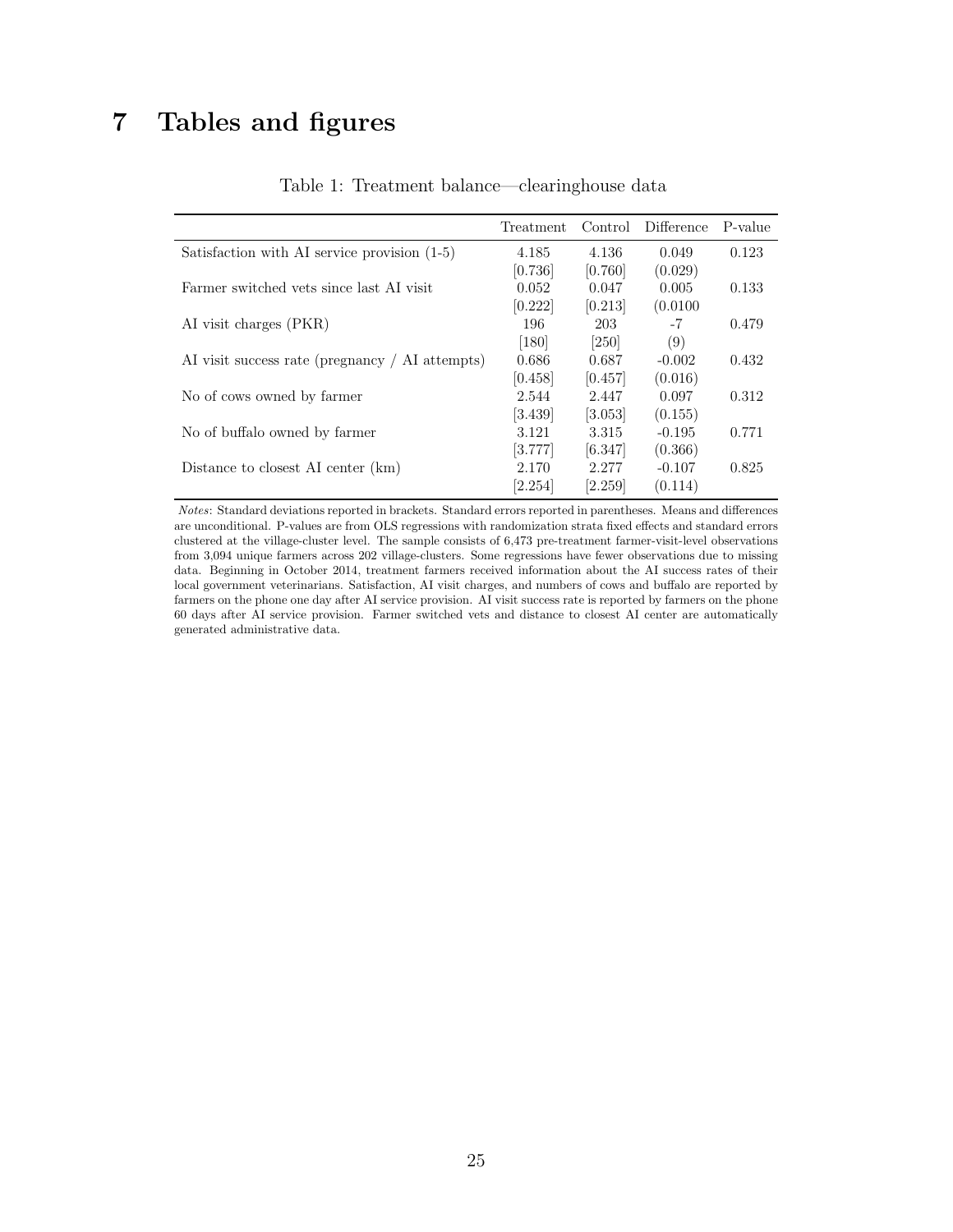## <span id="page-24-0"></span>7 Tables and figures

|                                                 | Treatment | Control              | <b>Difference</b> | P-value |
|-------------------------------------------------|-----------|----------------------|-------------------|---------|
| Satisfaction with AI service provision (1-5)    | 4.185     | 4.136                | 0.049             | 0.123   |
|                                                 | [0.736]   | [0.760]              | (0.029)           |         |
| Farmer switched vets since last AI visit        | 0.052     | 0.047                | 0.005             | 0.133   |
|                                                 | [0.222]   | [0.213]              | (0.0100)          |         |
| AI visit charges (PKR)                          | 196       | 203                  | $-7$              | 0.479   |
|                                                 | [180]     | [250]                | (9)               |         |
| AI visit success rate (pregnancy / AI attempts) | 0.686     | 0.687                | $-0.002$          | 0.432   |
|                                                 | [0.458]   | [0.457]              | (0.016)           |         |
| No of cows owned by farmer                      | 2.544     | 2.447                | 0.097             | 0.312   |
|                                                 | [3.439]   | $\left[3.053\right]$ | (0.155)           |         |
| No of buffalo owned by farmer                   | 3.121     | 3.315                | $-0.195$          | 0.771   |
|                                                 | [3.777]   | [6.347]              | (0.366)           |         |
| Distance to closest AI center (km)              | 2.170     | 2.277                | $-0.107$          | 0.825   |
|                                                 | [2.254]   | [2.259]              | (0.114)           |         |

Table 1: Treatment balance—clearinghouse data

Notes: Standard deviations reported in brackets. Standard errors reported in parentheses. Means and differences are unconditional. P-values are from OLS regressions with randomization strata fixed effects and standard errors clustered at the village-cluster level. The sample consists of 6,473 pre-treatment farmer-visit-level observations from 3,094 unique farmers across 202 village-clusters. Some regressions have fewer observations due to missing data. Beginning in October 2014, treatment farmers received information about the AI success rates of their local government veterinarians. Satisfaction, AI visit charges, and numbers of cows and buffalo are reported by farmers on the phone one day after AI service provision. AI visit success rate is reported by farmers on the phone 60 days after AI service provision. Farmer switched vets and distance to closest AI center are automatically generated administrative data.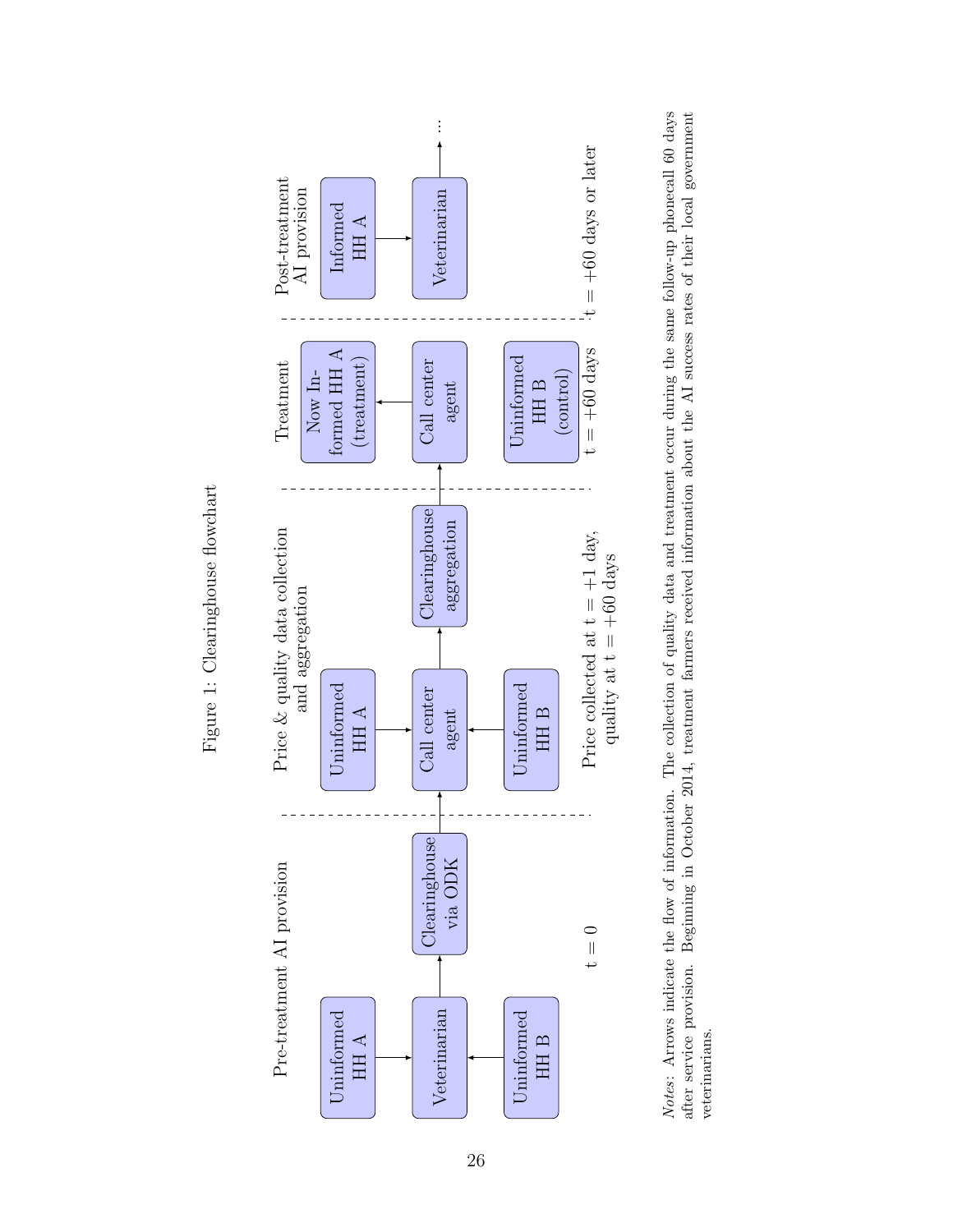



<span id="page-25-0"></span>Figure 1: Clearinghouse flowchart Figure 1: Clearinghouse flowchart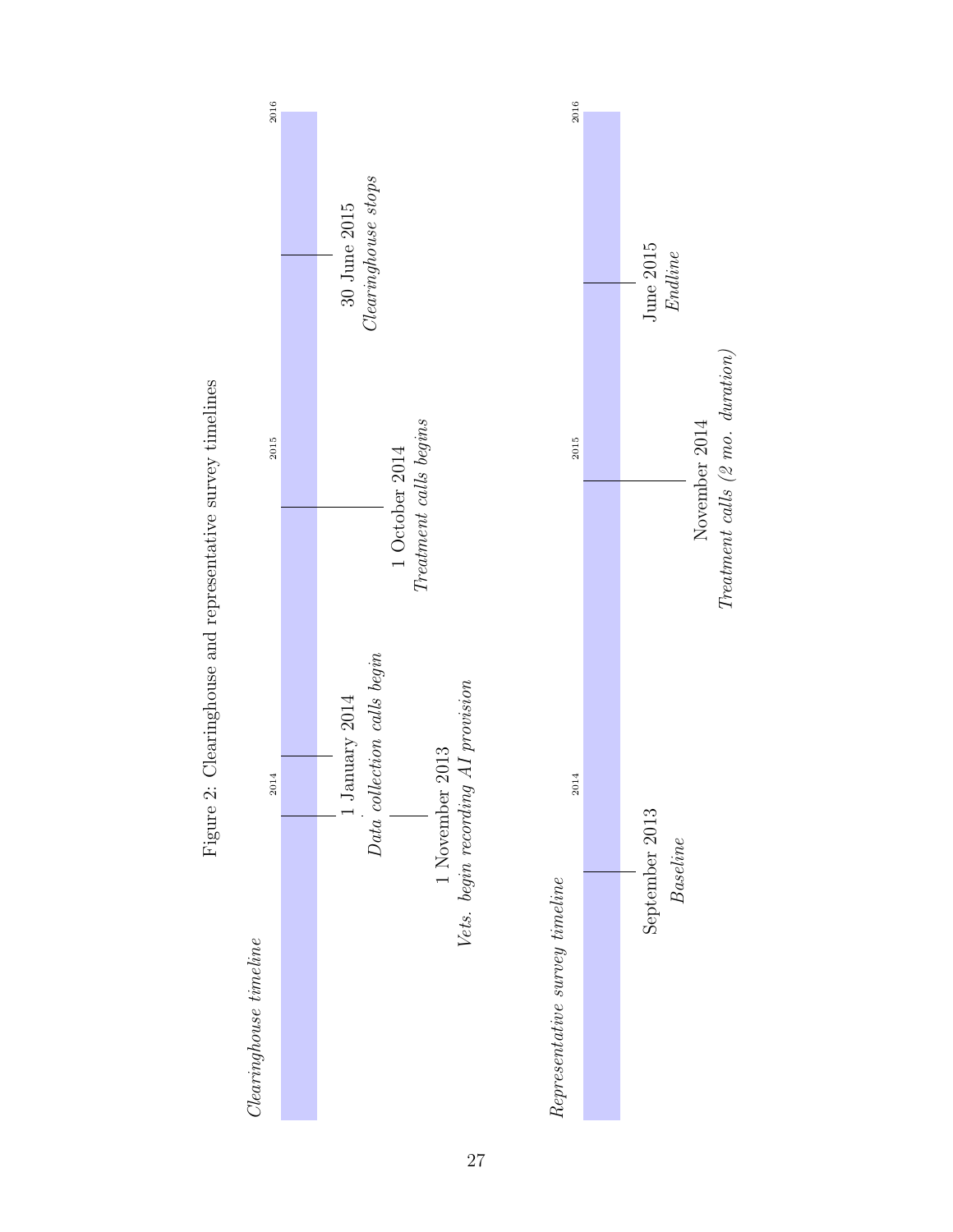<span id="page-26-0"></span>

 $The at a rate of 2$  mo.  $duration)$ 

Figure 2: Clearinghouse and representative survey timelines Figure 2: Clearinghouse and representative survey timelines

27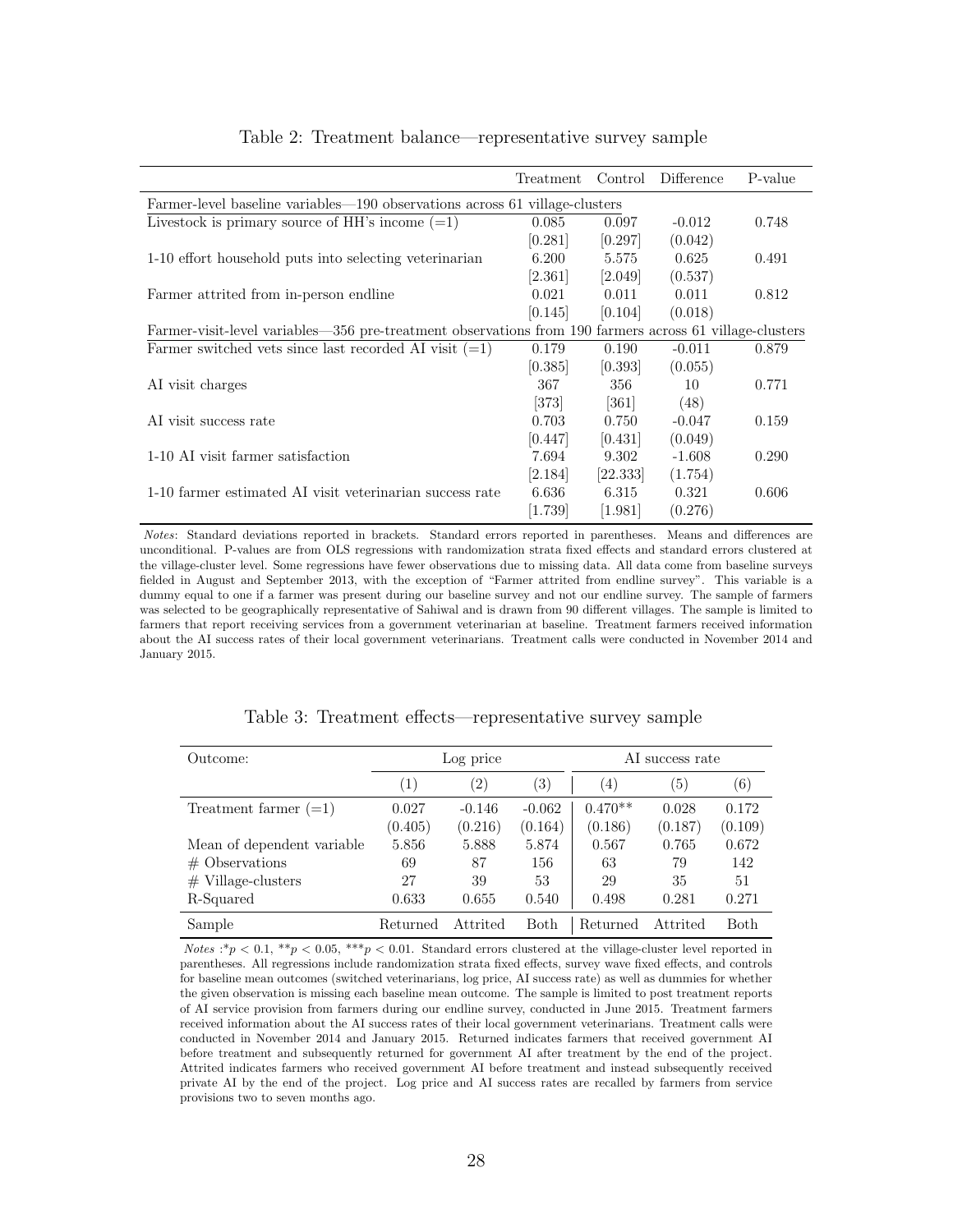<span id="page-27-0"></span>

|                                                                                                         | Treatment | Control            | Difference | P-value |
|---------------------------------------------------------------------------------------------------------|-----------|--------------------|------------|---------|
| Farmer-level baseline variables—190 observations across 61 village-clusters                             |           |                    |            |         |
| Livestock is primary source of HH's income $(=1)$                                                       | 0.085     | 0.097              | $-0.012$   | 0.748   |
|                                                                                                         | [0.281]   | [0.297]            | (0.042)    |         |
| 1-10 effort household puts into selecting veterinarian                                                  | 6.200     | 5.575              | 0.625      | 0.491   |
|                                                                                                         | [2.361]   | [2.049]            | (0.537)    |         |
| Farmer attrited from in-person endline                                                                  | 0.021     | 0.011              | 0.011      | 0.812   |
|                                                                                                         | [0.145]   | 0.104              | (0.018)    |         |
| Farmer-visit-level variables—356 pre-treatment observations from 190 farmers across 61 village-clusters |           |                    |            |         |
| Farmer switched vets since last recorded AI visit $(=1)$                                                | 0.179     | 0.190              | $-0.011$   | 0.879   |
|                                                                                                         | [0.385]   | 0.393              | (0.055)    |         |
| AI visit charges                                                                                        | 367       | 356                | 10         | 0.771   |
|                                                                                                         | $[373]$   | $\left[361\right]$ | (48)       |         |
| AI visit success rate                                                                                   | 0.703     | 0.750              | $-0.047$   | 0.159   |
|                                                                                                         | [0.447]   | [0.431]            | (0.049)    |         |
| 1-10 AI visit farmer satisfaction                                                                       | 7.694     | 9.302              | $-1.608$   | 0.290   |
|                                                                                                         | [2.184]   | 22.333             | (1.754)    |         |
| 1-10 farmer estimated AI visit veterinarian success rate                                                | 6.636     | 6.315              | 0.321      | 0.606   |
|                                                                                                         | 1.739     | 1.981              | (0.276)    |         |

#### Table 2: Treatment balance—representative survey sample

Notes: Standard deviations reported in brackets. Standard errors reported in parentheses. Means and differences are unconditional. P-values are from OLS regressions with randomization strata fixed effects and standard errors clustered at the village-cluster level. Some regressions have fewer observations due to missing data. All data come from baseline surveys fielded in August and September 2013, with the exception of "Farmer attrited from endline survey". This variable is a dummy equal to one if a farmer was present during our baseline survey and not our endline survey. The sample of farmers was selected to be geographically representative of Sahiwal and is drawn from 90 different villages. The sample is limited to farmers that report receiving services from a government veterinarian at baseline. Treatment farmers received information about the AI success rates of their local government veterinarians. Treatment calls were conducted in November 2014 and January 2015.

<span id="page-27-1"></span>

| Outcome:                   | Log price        |               |                   |           | AI success rate |                   |
|----------------------------|------------------|---------------|-------------------|-----------|-----------------|-------------------|
|                            | $\left(1\right)$ | $^{\prime}2)$ | $\left( 3\right)$ | (4)       | (5)             | $\left( 6\right)$ |
| Treatment farmer $(=1)$    | 0.027            | $-0.146$      | $-0.062$          | $0.470**$ | 0.028           | 0.172             |
|                            | (0.405)          | (0.216)       | (0.164)           | (0.186)   | (0.187)         | (0.109)           |
| Mean of dependent variable | 5.856            | 5.888         | 5.874             | 0.567     | 0.765           | 0.672             |
| $#$ Observations           | 69               | 87            | 156               | 63        | 79              | 142               |
| $#$ Village-clusters       | 27               | 39            | 53                | 29        | 35              | 51                |
| R-Squared                  | 0.633            | 0.655         | 0.540             | 0.498     | 0.281           | 0.271             |
| Sample                     | Returned         | Attrited      | <b>Both</b>       | Returned  | Attrited        | <b>Both</b>       |

Table 3: Treatment effects—representative survey sample

Notes :\*p < 0.1, \*\*p < 0.05, \*\*\*p < 0.01. Standard errors clustered at the village-cluster level reported in parentheses. All regressions include randomization strata fixed effects, survey wave fixed effects, and controls for baseline mean outcomes (switched veterinarians, log price, AI success rate) as well as dummies for whether the given observation is missing each baseline mean outcome. The sample is limited to post treatment reports of AI service provision from farmers during our endline survey, conducted in June 2015. Treatment farmers received information about the AI success rates of their local government veterinarians. Treatment calls were conducted in November 2014 and January 2015. Returned indicates farmers that received government AI before treatment and subsequently returned for government AI after treatment by the end of the project. Attrited indicates farmers who received government AI before treatment and instead subsequently received private AI by the end of the project. Log price and AI success rates are recalled by farmers from service provisions two to seven months ago.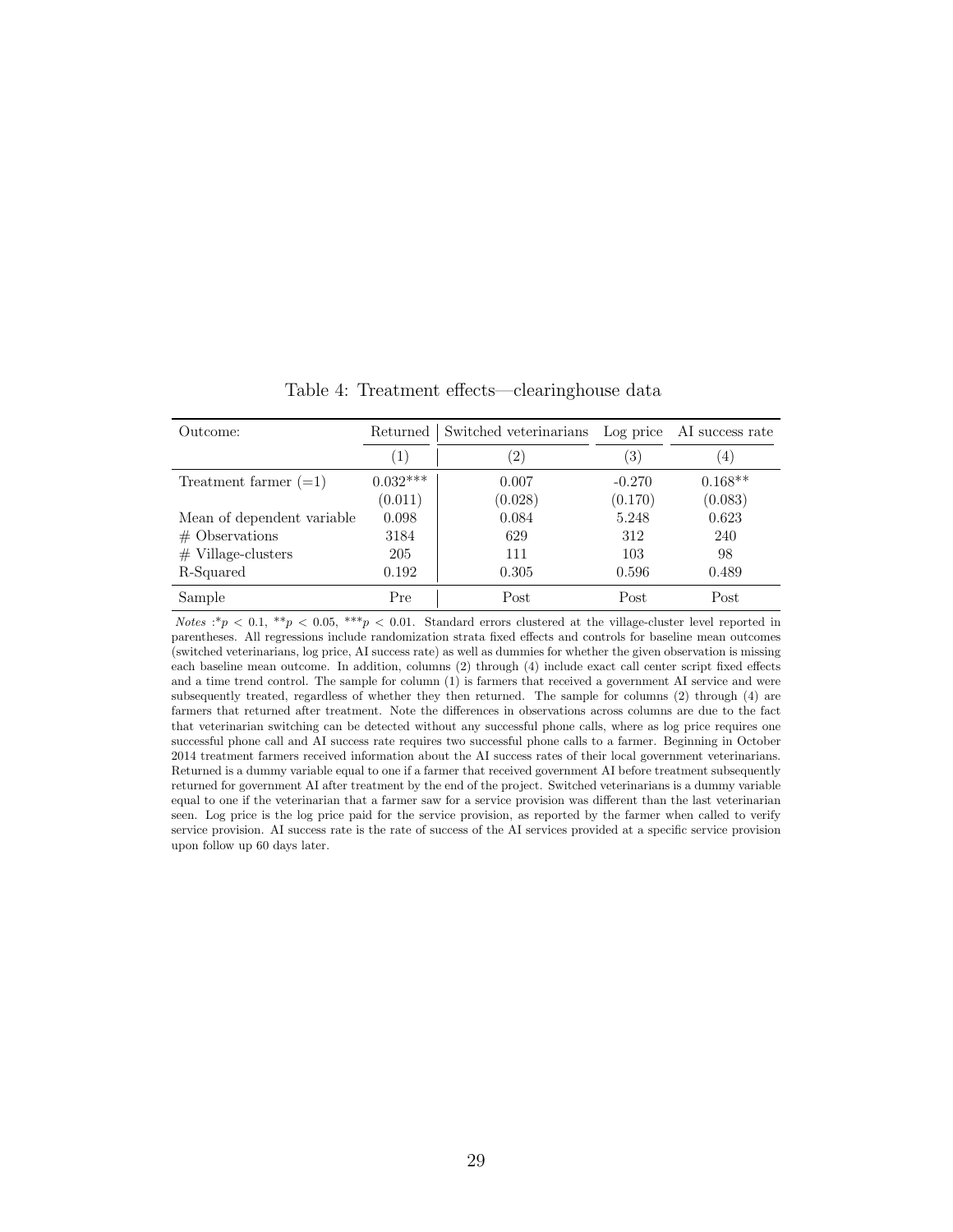<span id="page-28-0"></span>

| Outcome:                   | Returned   | Switched veterinarians Log price AI success rate |          |           |
|----------------------------|------------|--------------------------------------------------|----------|-----------|
|                            | (1)        | $^{'}2)$                                         | (3)      | (4)       |
| Treatment farmer $(=1)$    | $0.032***$ | 0.007                                            | $-0.270$ | $0.168**$ |
|                            | (0.011)    | (0.028)                                          | (0.170)  | (0.083)   |
| Mean of dependent variable | 0.098      | 0.084                                            | 5.248    | 0.623     |
| $#$ Observations           | 3184       | 629                                              | 312      | 240       |
| $#$ Village-clusters       | 205        | 111                                              | 103      | 98        |
| R-Squared                  | 0.192      | 0.305                                            | 0.596    | 0.489     |
| Sample                     | Pre        | Post                                             | Post     | Post      |

Table 4: Treatment effects—clearinghouse data

Notes :\*p < 0.1, \*\*p < 0.05, \*\*\*p < 0.01. Standard errors clustered at the village-cluster level reported in parentheses. All regressions include randomization strata fixed effects and controls for baseline mean outcomes (switched veterinarians, log price, AI success rate) as well as dummies for whether the given observation is missing each baseline mean outcome. In addition, columns (2) through (4) include exact call center script fixed effects and a time trend control. The sample for column (1) is farmers that received a government AI service and were subsequently treated, regardless of whether they then returned. The sample for columns (2) through (4) are farmers that returned after treatment. Note the differences in observations across columns are due to the fact that veterinarian switching can be detected without any successful phone calls, where as log price requires one successful phone call and AI success rate requires two successful phone calls to a farmer. Beginning in October 2014 treatment farmers received information about the AI success rates of their local government veterinarians. Returned is a dummy variable equal to one if a farmer that received government AI before treatment subsequently returned for government AI after treatment by the end of the project. Switched veterinarians is a dummy variable equal to one if the veterinarian that a farmer saw for a service provision was different than the last veterinarian seen. Log price is the log price paid for the service provision, as reported by the farmer when called to verify service provision. AI success rate is the rate of success of the AI services provided at a specific service provision upon follow up 60 days later.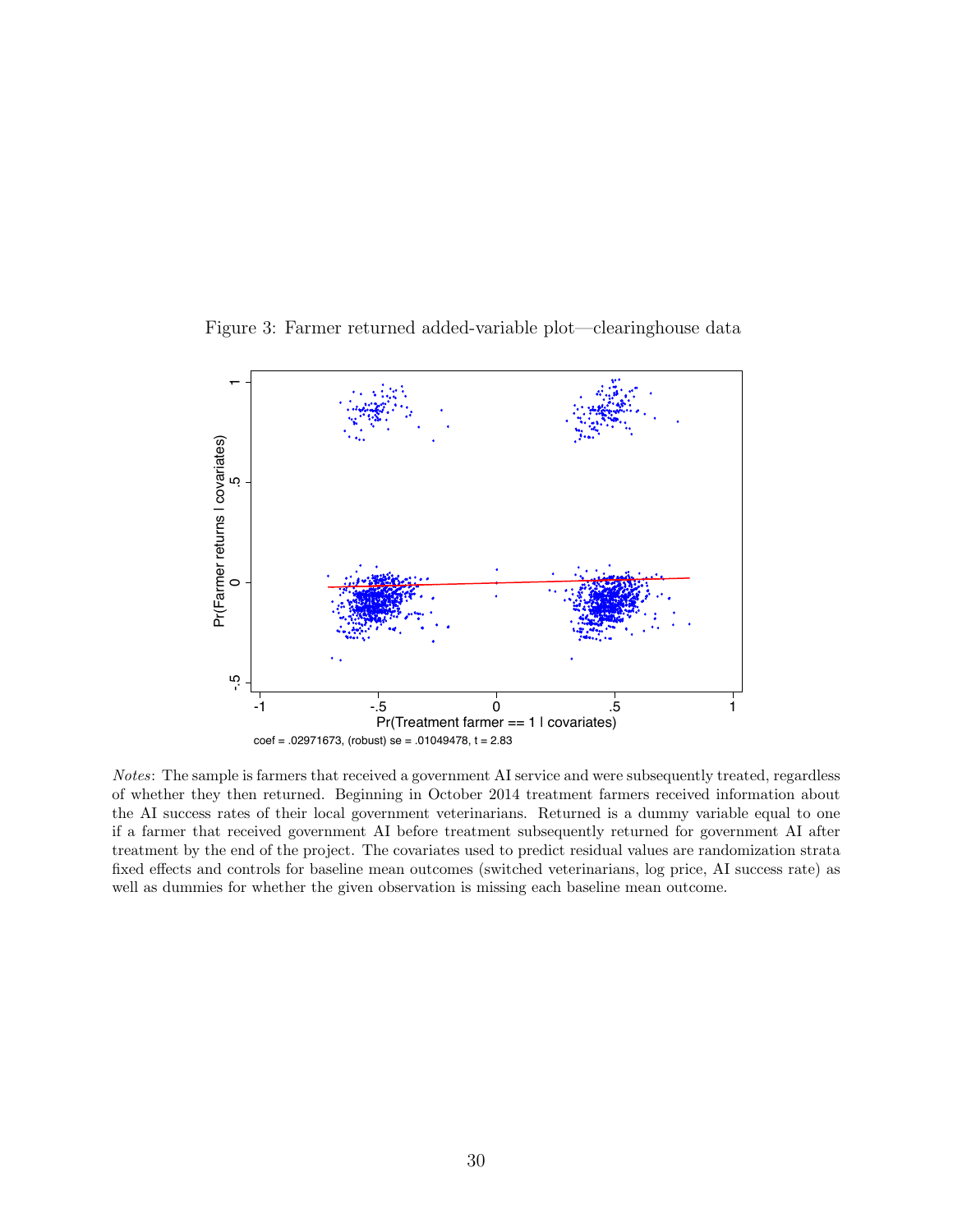<span id="page-29-0"></span>Figure 3: Farmer returned added-variable plot—clearinghouse data



Notes: The sample is farmers that received a government AI service and were subsequently treated, regardless of whether they then returned. Beginning in October 2014 treatment farmers received information about the AI success rates of their local government veterinarians. Returned is a dummy variable equal to one if a farmer that received government AI before treatment subsequently returned for government AI after treatment by the end of the project. The covariates used to predict residual values are randomization strata fixed effects and controls for baseline mean outcomes (switched veterinarians, log price, AI success rate) as well as dummies for whether the given observation is missing each baseline mean outcome.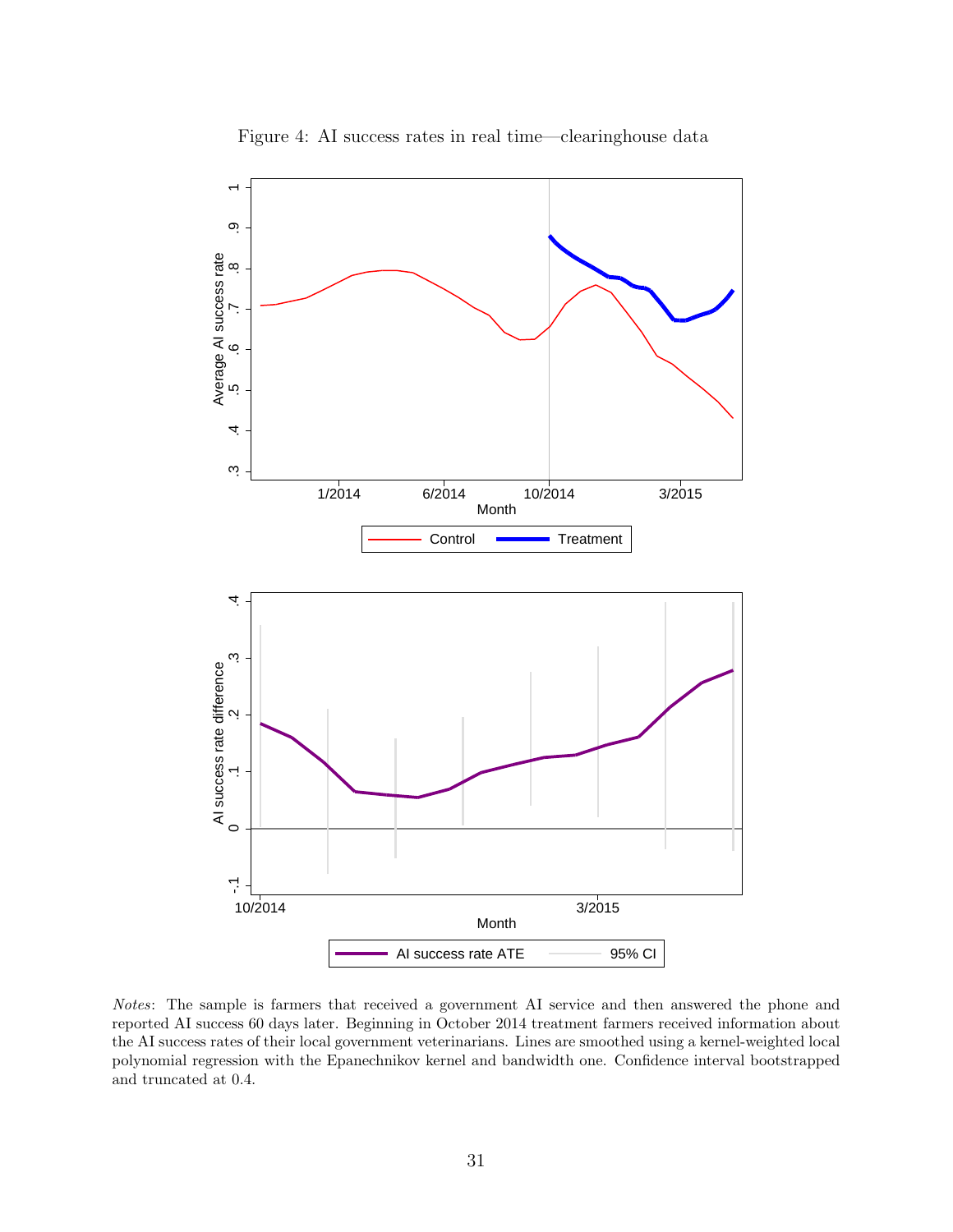<span id="page-30-0"></span>

Figure 4: AI success rates in real time—clearinghouse data

Notes: The sample is farmers that received a government AI service and then answered the phone and reported AI success 60 days later. Beginning in October 2014 treatment farmers received information about the AI success rates of their local government veterinarians. Lines are smoothed using a kernel-weighted local polynomial regression with the Epanechnikov kernel and bandwidth one. Confidence interval bootstrapped and truncated at 0.4.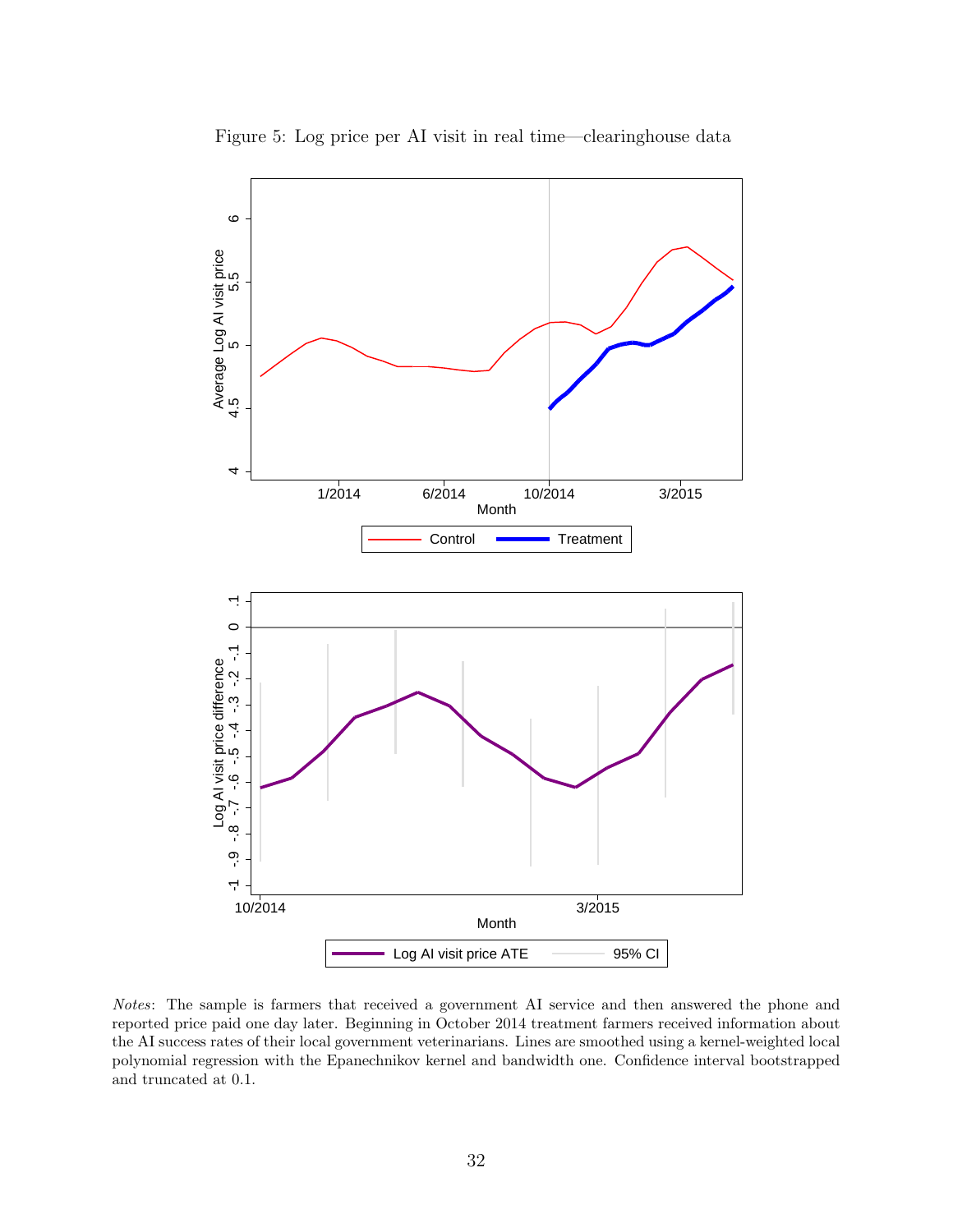<span id="page-31-0"></span>

Figure 5: Log price per AI visit in real time—clearinghouse data

Notes: The sample is farmers that received a government AI service and then answered the phone and reported price paid one day later. Beginning in October 2014 treatment farmers received information about the AI success rates of their local government veterinarians. Lines are smoothed using a kernel-weighted local polynomial regression with the Epanechnikov kernel and bandwidth one. Confidence interval bootstrapped and truncated at 0.1.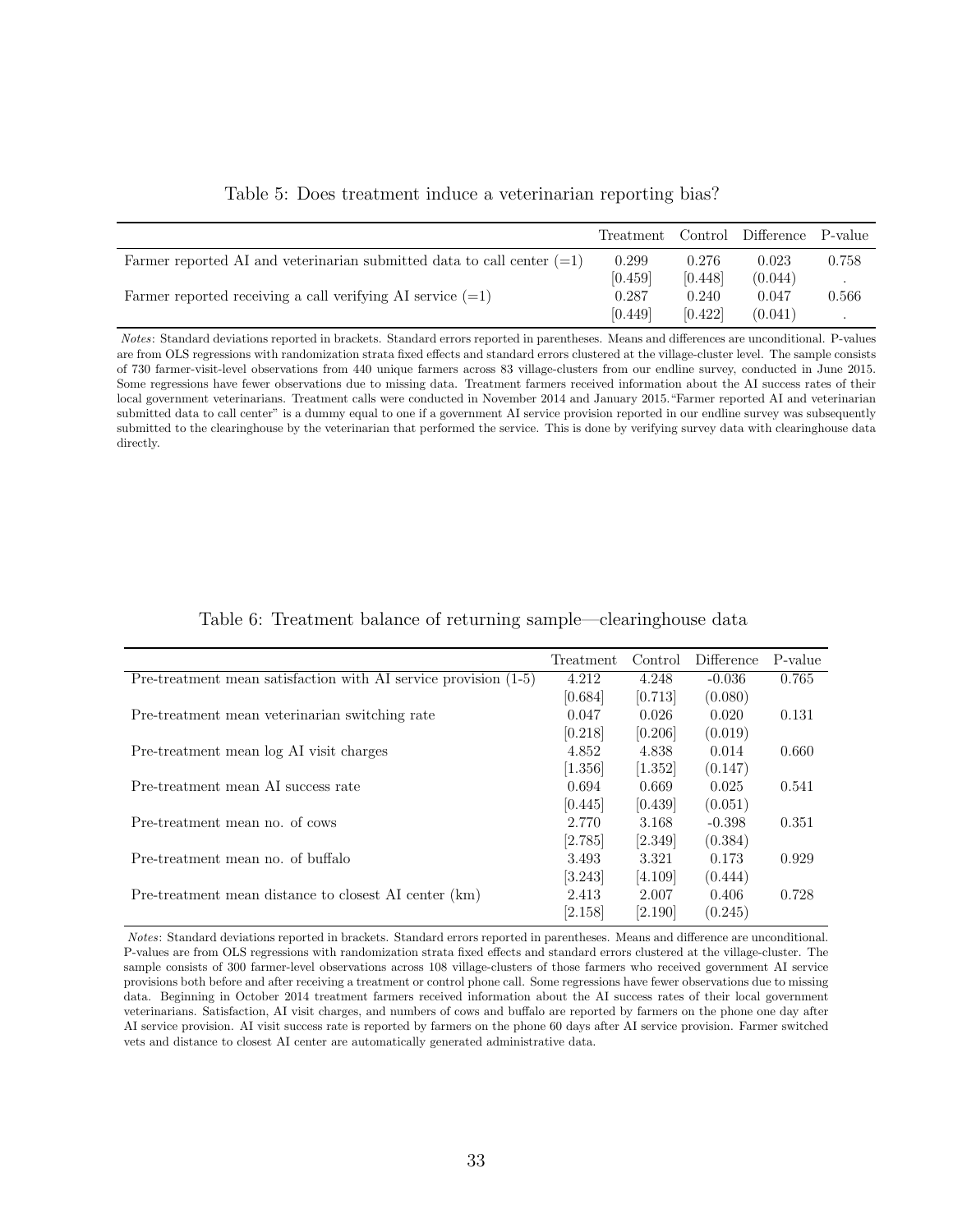<span id="page-32-0"></span>

|                                                                          | Treatment |         | Control Difference P-value |       |
|--------------------------------------------------------------------------|-----------|---------|----------------------------|-------|
| Farmer reported AI and veterinarian submitted data to call center $(=1)$ | 0.299     | 0.276   | 0.023                      | 0.758 |
|                                                                          | [0.459]   | [0.448] | (0.044)                    |       |
| Farmer reported receiving a call verifying AI service $(=1)$             | 0.287     | 0.240   | 0.047                      | 0.566 |
|                                                                          | [0.449]   | [0.422] | (0.041)                    |       |

Table 5: Does treatment induce a veterinarian reporting bias?

Notes: Standard deviations reported in brackets. Standard errors reported in parentheses. Means and differences are unconditional. P-values are from OLS regressions with randomization strata fixed effects and standard errors clustered at the village-cluster level. The sample consists of 730 farmer-visit-level observations from 440 unique farmers across 83 village-clusters from our endline survey, conducted in June 2015. Some regressions have fewer observations due to missing data. Treatment farmers received information about the AI success rates of their local government veterinarians. Treatment calls were conducted in November 2014 and January 2015."Farmer reported AI and veterinarian submitted data to call center" is a dummy equal to one if a government AI service provision reported in our endline survey was subsequently submitted to the clearinghouse by the veterinarian that performed the service. This is done by verifying survey data with clearinghouse data directly.

<span id="page-32-1"></span>

|                                                                   | Treatment | Control | Difference | P-value |
|-------------------------------------------------------------------|-----------|---------|------------|---------|
| Pre-treatment mean satisfaction with AI service provision $(1-5)$ | 4.212     | 4.248   | $-0.036$   | 0.765   |
|                                                                   | [0.684]   | [0.713] | (0.080)    |         |
| Pre-treatment mean veterinarian switching rate                    | 0.047     | 0.026   | 0.020      | 0.131   |
|                                                                   | [0.218]   | [0.206] | (0.019)    |         |
| Pre-treatment mean log AI visit charges                           | 4.852     | 4.838   | 0.014      | 0.660   |
|                                                                   | [1.356]   | [1.352] | (0.147)    |         |
| Pre-treatment mean AI success rate                                | 0.694     | 0.669   | 0.025      | 0.541   |
|                                                                   | [0.445]   | [0.439] | (0.051)    |         |
| Pre-treatment mean no. of cows                                    | 2.770     | 3.168   | $-0.398$   | 0.351   |
|                                                                   | [2.785]   | [2.349] | (0.384)    |         |
| Pre-treatment mean no. of buffalo                                 | 3.493     | 3.321   | 0.173      | 0.929   |
|                                                                   | [3.243]   | [4.109] | (0.444)    |         |
| Pre-treatment mean distance to closest AI center (km)             | 2.413     | 2.007   | 0.406      | 0.728   |
|                                                                   | [2.158]   | [2.190] | (0.245)    |         |

Table 6: Treatment balance of returning sample—clearinghouse data

Notes: Standard deviations reported in brackets. Standard errors reported in parentheses. Means and difference are unconditional. P-values are from OLS regressions with randomization strata fixed effects and standard errors clustered at the village-cluster. The sample consists of 300 farmer-level observations across 108 village-clusters of those farmers who received government AI service provisions both before and after receiving a treatment or control phone call. Some regressions have fewer observations due to missing data. Beginning in October 2014 treatment farmers received information about the AI success rates of their local government veterinarians. Satisfaction, AI visit charges, and numbers of cows and buffalo are reported by farmers on the phone one day after AI service provision. AI visit success rate is reported by farmers on the phone 60 days after AI service provision. Farmer switched vets and distance to closest AI center are automatically generated administrative data.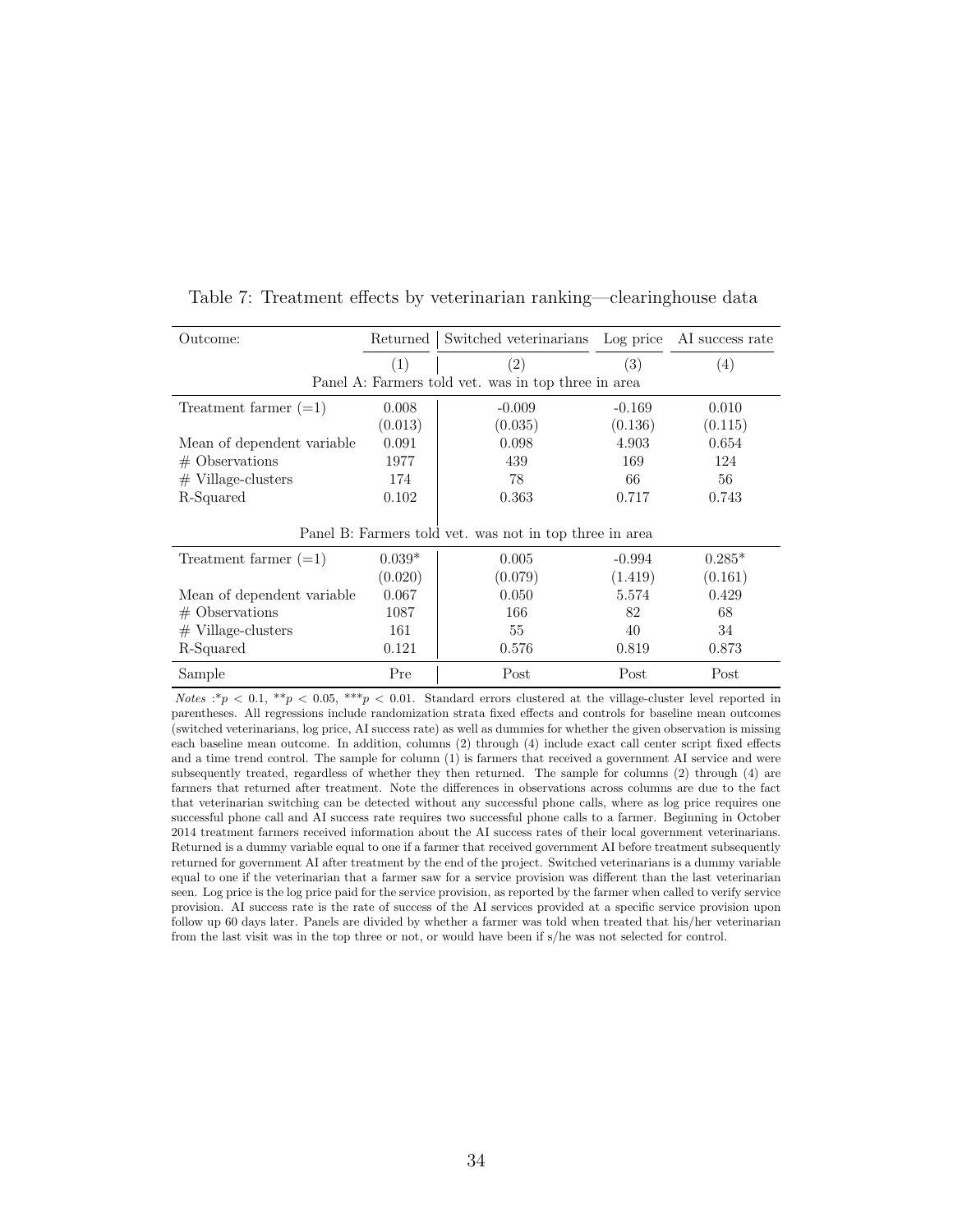| Outcome:                   | Returned                                                | Switched veterinarians Log price                    |          | AI success rate   |  |
|----------------------------|---------------------------------------------------------|-----------------------------------------------------|----------|-------------------|--|
|                            | (1)                                                     | $\left( 2\right)$                                   | (3)      | $\left( 4\right)$ |  |
|                            |                                                         | Panel A: Farmers told vet. was in top three in area |          |                   |  |
| Treatment farmer $(=1)$    | 0.008                                                   | $-0.009$                                            | $-0.169$ | 0.010             |  |
|                            | (0.013)                                                 | (0.035)                                             | (0.136)  | (0.115)           |  |
| Mean of dependent variable | 0.091                                                   | 0.098                                               | 4.903    | 0.654             |  |
| $#$ Observations           | 1977                                                    | 439                                                 | 169      | 124               |  |
| $#$ Village-clusters       | 174                                                     | 78                                                  | 66       | 56                |  |
| R-Squared                  | 0.102                                                   | 0.363                                               | 0.717    | 0.743             |  |
|                            | Panel B: Farmers told vet. was not in top three in area |                                                     |          |                   |  |
| Treatment farmer $(=1)$    | $0.039*$                                                | 0.005                                               | $-0.994$ | $0.285*$          |  |
|                            | (0.020)                                                 | (0.079)                                             | (1.419)  | (0.161)           |  |
| Mean of dependent variable | 0.067                                                   | 0.050                                               | 5.574    | 0.429             |  |
| $#$ Observations           | 1087                                                    | 166                                                 | 82       | 68                |  |
| $#$ Village-clusters       | 161                                                     | 55                                                  | 40       | 34                |  |
| R-Squared                  | 0.121                                                   | 0.576                                               | 0.819    | 0.873             |  |
| Sample                     | Pre                                                     | Post                                                | Post     | Post              |  |

<span id="page-33-0"></span>Table 7: Treatment effects by veterinarian ranking—clearinghouse data

Notes :\*p < 0.1, \*\*p < 0.05, \*\*\*p < 0.01. Standard errors clustered at the village-cluster level reported in parentheses. All regressions include randomization strata fixed effects and controls for baseline mean outcomes (switched veterinarians, log price, AI success rate) as well as dummies for whether the given observation is missing each baseline mean outcome. In addition, columns (2) through (4) include exact call center script fixed effects and a time trend control. The sample for column (1) is farmers that received a government AI service and were subsequently treated, regardless of whether they then returned. The sample for columns (2) through (4) are farmers that returned after treatment. Note the differences in observations across columns are due to the fact that veterinarian switching can be detected without any successful phone calls, where as log price requires one successful phone call and AI success rate requires two successful phone calls to a farmer. Beginning in October 2014 treatment farmers received information about the AI success rates of their local government veterinarians. Returned is a dummy variable equal to one if a farmer that received government AI before treatment subsequently returned for government AI after treatment by the end of the project. Switched veterinarians is a dummy variable equal to one if the veterinarian that a farmer saw for a service provision was different than the last veterinarian seen. Log price is the log price paid for the service provision, as reported by the farmer when called to verify service provision. AI success rate is the rate of success of the AI services provided at a specific service provision upon follow up 60 days later. Panels are divided by whether a farmer was told when treated that his/her veterinarian from the last visit was in the top three or not, or would have been if s/he was not selected for control.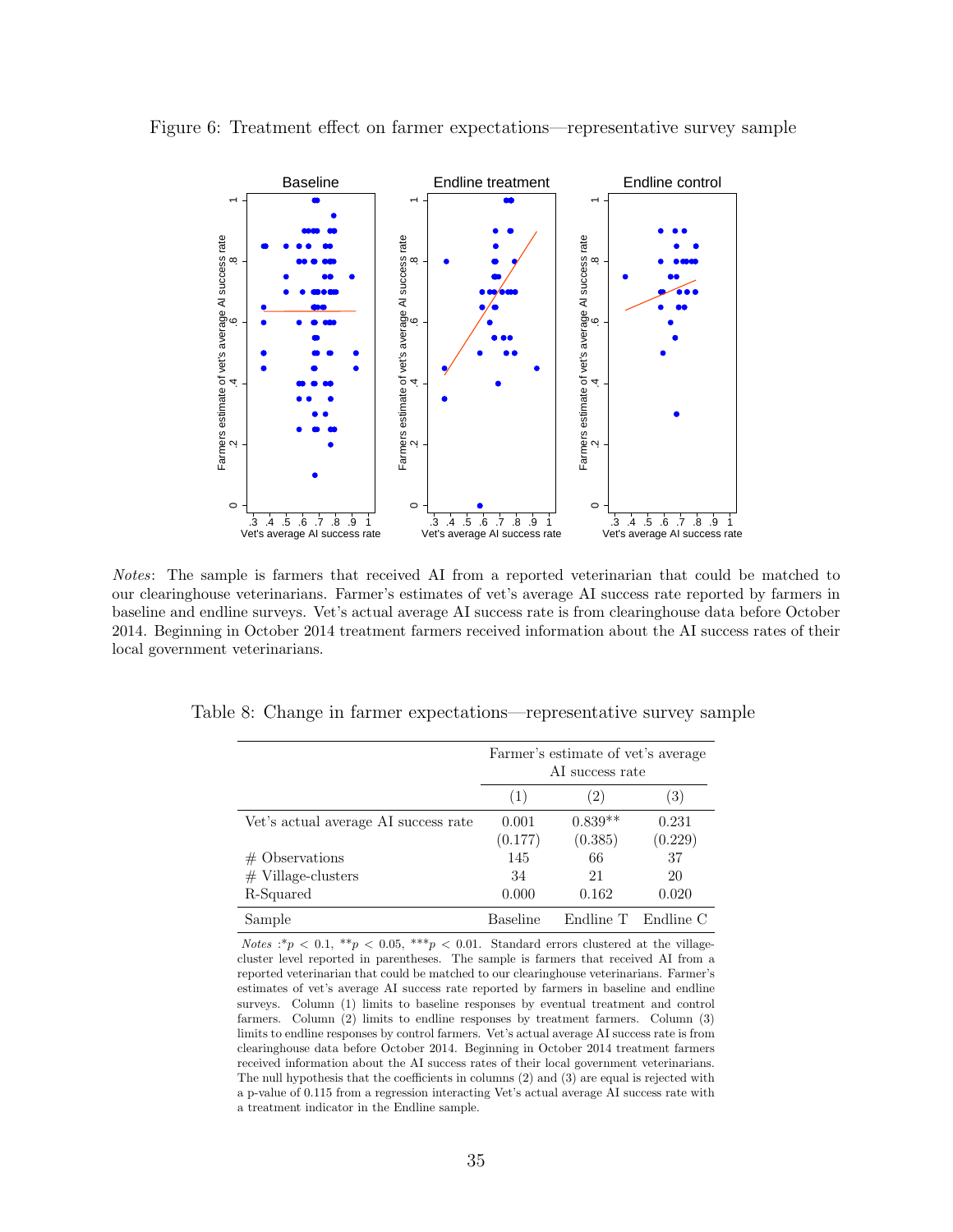

<span id="page-34-0"></span>Figure 6: Treatment effect on farmer expectations—representative survey sample

Notes: The sample is farmers that received AI from a reported veterinarian that could be matched to our clearinghouse veterinarians. Farmer's estimates of vet's average AI success rate reported by farmers in baseline and endline surveys. Vet's actual average AI success rate is from clearinghouse data before October 2014. Beginning in October 2014 treatment farmers received information about the AI success rates of their local government veterinarians.

|                                      | Farmer's estimate of vet's average<br>AI success rate |                      |                  |  |
|--------------------------------------|-------------------------------------------------------|----------------------|------------------|--|
|                                      | (1)                                                   | (2)                  | (3)              |  |
| Vet's actual average AI success rate | 0.001<br>(0.177)                                      | $0.839**$<br>(0.385) | 0.231<br>(0.229) |  |
| $#$ Observations                     | 145                                                   | 66                   | 37               |  |
| $#$ Village-clusters                 | 34                                                    | 21                   | 20               |  |
| R-Squared                            | 0.000                                                 | 0.162                | 0.020            |  |
| Sample                               | Baseline                                              | Endline T            | Endline C        |  |

<span id="page-34-1"></span>Table 8: Change in farmer expectations—representative survey sample

Notes :\* $p < 0.1$ , \*\* $p < 0.05$ , \*\*\* $p < 0.01$ . Standard errors clustered at the villagecluster level reported in parentheses. The sample is farmers that received AI from a reported veterinarian that could be matched to our clearinghouse veterinarians. Farmer's estimates of vet's average AI success rate reported by farmers in baseline and endline surveys. Column (1) limits to baseline responses by eventual treatment and control farmers. Column (2) limits to endline responses by treatment farmers. Column (3) limits to endline responses by control farmers. Vet's actual average AI success rate is from clearinghouse data before October 2014. Beginning in October 2014 treatment farmers received information about the AI success rates of their local government veterinarians. The null hypothesis that the coefficients in columns (2) and (3) are equal is rejected with a p-value of 0.115 from a regression interacting Vet's actual average AI success rate with a treatment indicator in the Endline sample.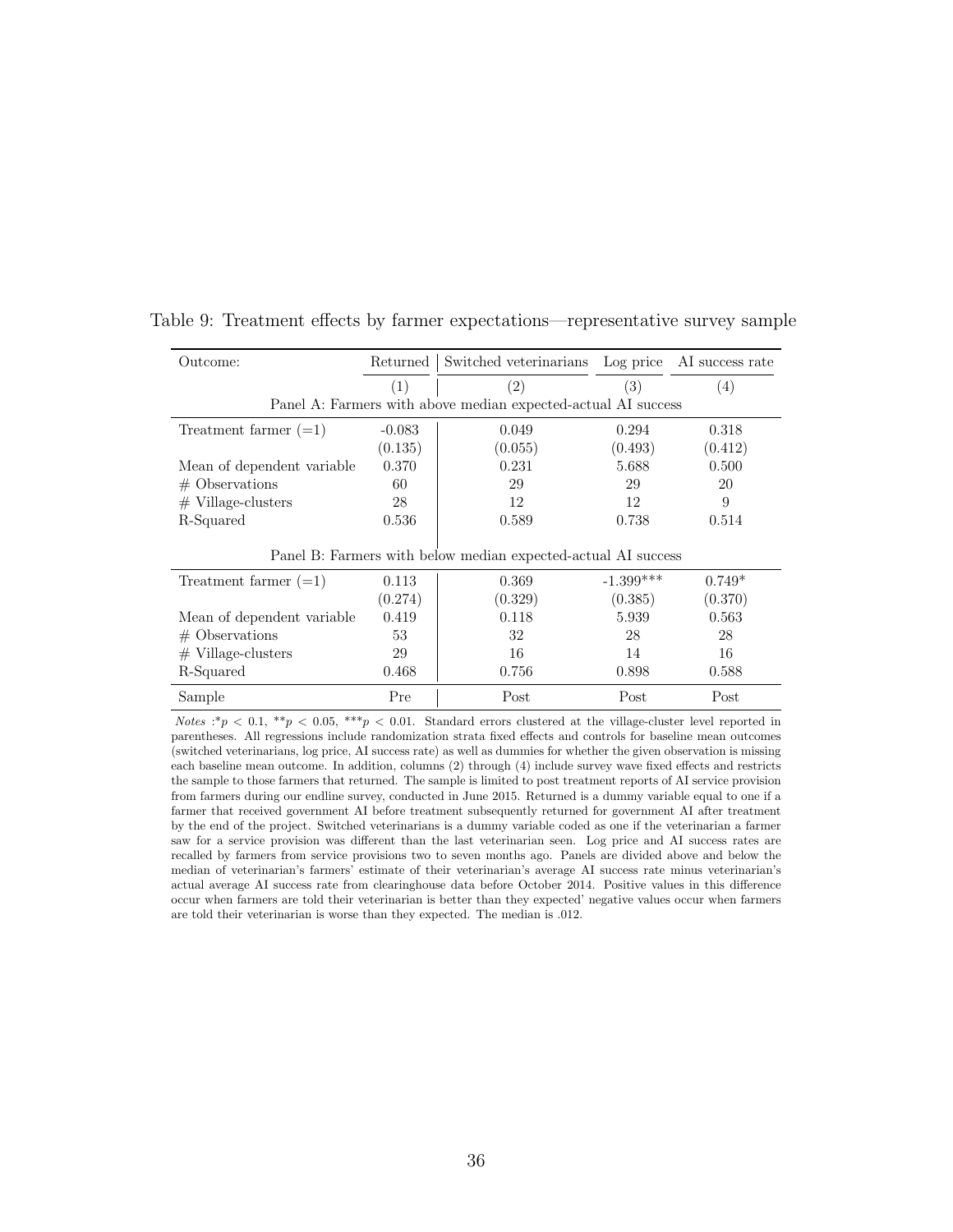| Outcome:                    | Returned | Switched veterinarians Log price AI success rate              |             |          |
|-----------------------------|----------|---------------------------------------------------------------|-------------|----------|
|                             | (1)      | (2)                                                           | (3)         | (4)      |
|                             |          | Panel A: Farmers with above median expected-actual AI success |             |          |
| Treatment farmer $(=1)$     | $-0.083$ | 0.049                                                         | 0.294       | 0.318    |
|                             | (0.135)  | (0.055)                                                       | (0.493)     | (0.412)  |
| Mean of dependent variable  | 0.370    | 0.231                                                         | 5.688       | 0.500    |
| $#$ Observations            | 60       | 29                                                            | 29          | 20       |
| $#$ Village-clusters        | 28       | 12                                                            | 12          | 9        |
| R-Squared                   | 0.536    | 0.589                                                         | 0.738       | 0.514    |
|                             |          | Panel B: Farmers with below median expected-actual AI success |             |          |
| Treatment farmer $(=1)$     | 0.113    | 0.369                                                         | $-1.399***$ | $0.749*$ |
|                             | (0.274)  | (0.329)                                                       | (0.385)     | (0.370)  |
| Mean of dependent variable. | 0.419    | 0.118                                                         | 5.939       | 0.563    |
| $#$ Observations            | 53       | 32                                                            | 28          | 28       |
| $#$ Village-clusters        | 29       | 16                                                            | 14          | 16       |
| R-Squared                   | 0.468    | 0.756                                                         | 0.898       | 0.588    |
| Sample                      | Pre      | Post                                                          | Post        | Post     |

<span id="page-35-0"></span>Table 9: Treatment effects by farmer expectations—representative survey sample

Notes :\*p < 0.1, \*\*p < 0.05, \*\*\*p < 0.01. Standard errors clustered at the village-cluster level reported in parentheses. All regressions include randomization strata fixed effects and controls for baseline mean outcomes (switched veterinarians, log price, AI success rate) as well as dummies for whether the given observation is missing each baseline mean outcome. In addition, columns (2) through (4) include survey wave fixed effects and restricts the sample to those farmers that returned. The sample is limited to post treatment reports of AI service provision from farmers during our endline survey, conducted in June 2015. Returned is a dummy variable equal to one if a farmer that received government AI before treatment subsequently returned for government AI after treatment by the end of the project. Switched veterinarians is a dummy variable coded as one if the veterinarian a farmer saw for a service provision was different than the last veterinarian seen. Log price and AI success rates are recalled by farmers from service provisions two to seven months ago. Panels are divided above and below the median of veterinarian's farmers' estimate of their veterinarian's average AI success rate minus veterinarian's actual average AI success rate from clearinghouse data before October 2014. Positive values in this difference occur when farmers are told their veterinarian is better than they expected' negative values occur when farmers are told their veterinarian is worse than they expected. The median is .012.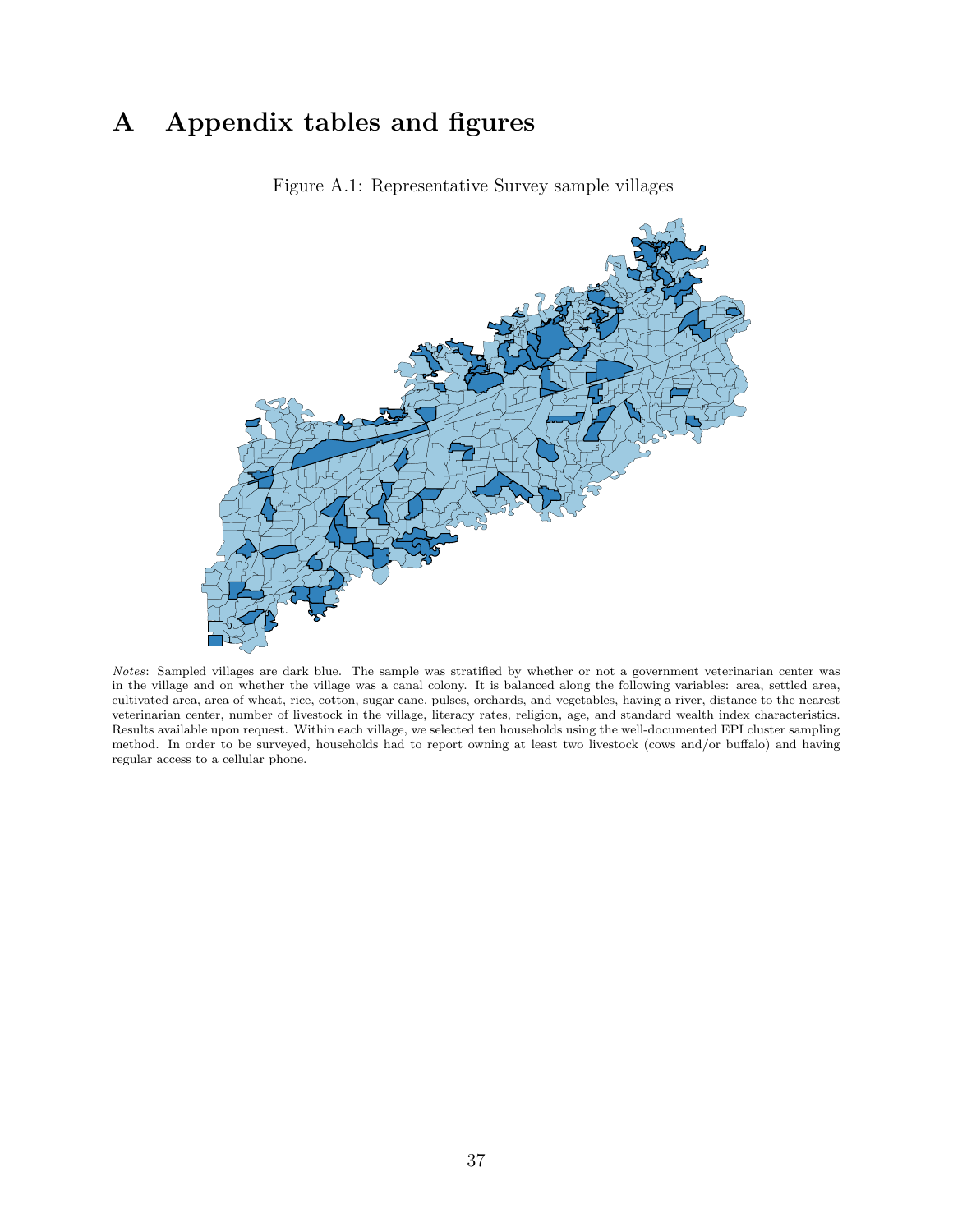## <span id="page-36-0"></span>A Appendix tables and figures



Figure A.1: Representative Survey sample villages

Notes: Sampled villages are dark blue. The sample was stratified by whether or not a government veterinarian center was in the village and on whether the village was a canal colony. It is balanced along the following variables: area, settled area, cultivated area, area of wheat, rice, cotton, sugar cane, pulses, orchards, and vegetables, having a river, distance to the nearest veterinarian center, number of livestock in the village, literacy rates, religion, age, and standard wealth index characteristics. Results available upon request. Within each village, we selected ten households using the well-documented EPI cluster sampling method. In order to be surveyed, households had to report owning at least two livestock (cows and/or buffalo) and having regular access to a cellular phone.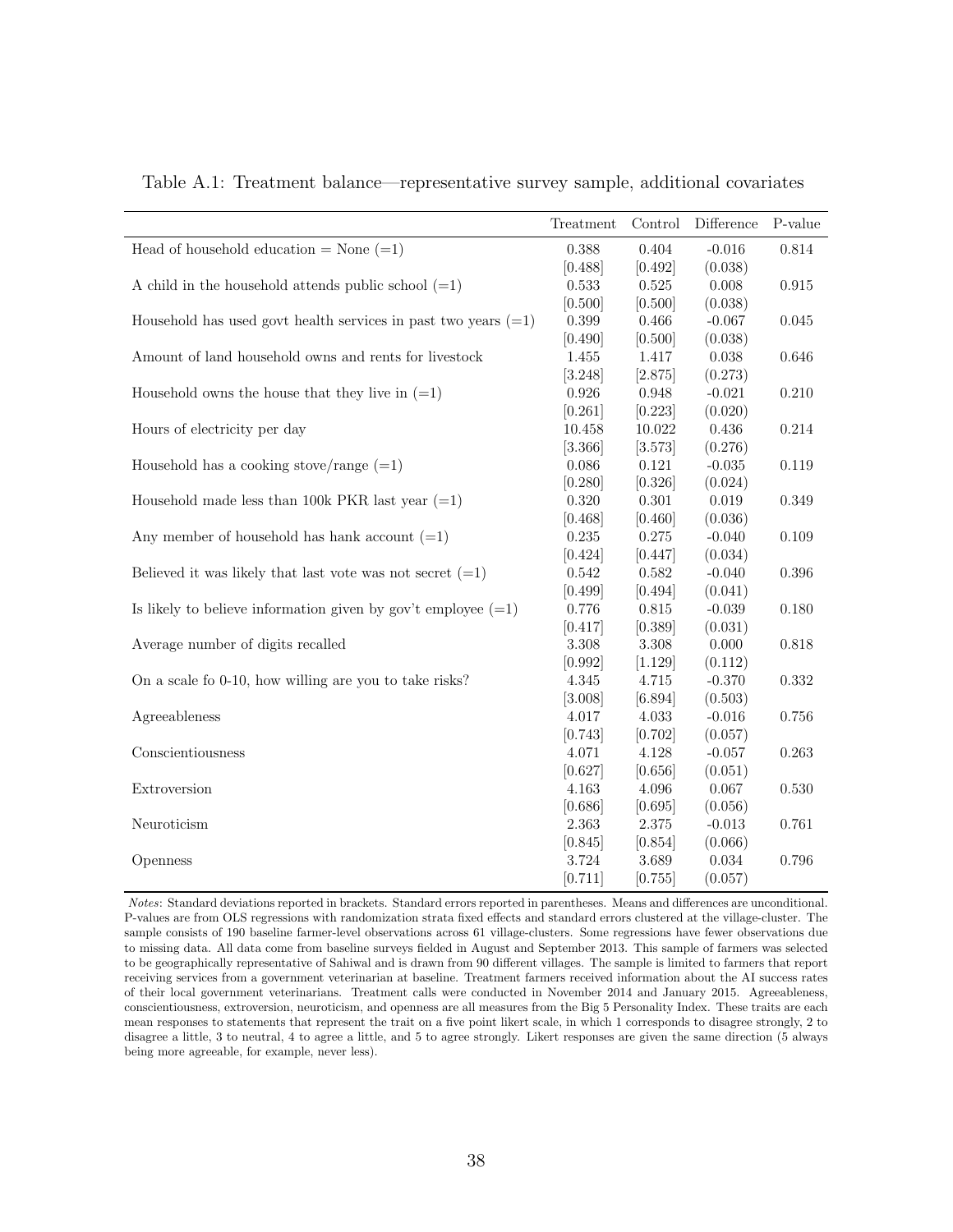|                                                                  | Treatment | Control   | Difference | P-value |
|------------------------------------------------------------------|-----------|-----------|------------|---------|
| Head of household education = None $(=1)$                        | 0.388     | 0.404     | $-0.016$   | 0.814   |
|                                                                  | [0.488]   | [0.492]   | (0.038)    |         |
| A child in the household attends public school $(=1)$            | 0.533     | $0.525\,$ | 0.008      | 0.915   |
|                                                                  | [0.500]   | [0.500]   | (0.038)    |         |
| Household has used govt health services in past two years $(=1)$ | 0.399     | 0.466     | $-0.067$   | 0.045   |
|                                                                  | [0.490]   | [0.500]   | (0.038)    |         |
| Amount of land household owns and rents for livestock            | 1.455     | 1.417     | 0.038      | 0.646   |
|                                                                  | [3.248]   | [2.875]   | (0.273)    |         |
| Household owns the house that they live in $(=1)$                | 0.926     | 0.948     | $-0.021$   | 0.210   |
|                                                                  | [0.261]   | [0.223]   | (0.020)    |         |
| Hours of electricity per day                                     | 10.458    | 10.022    | 0.436      | 0.214   |
|                                                                  | [3.366]   | [3.573]   | (0.276)    |         |
| Household has a cooking stove/range $(=1)$                       | 0.086     | 0.121     | $-0.035$   | 0.119   |
|                                                                  | [0.280]   | [0.326]   | (0.024)    |         |
| Household made less than 100k PKR last year $(=1)$               | 0.320     | 0.301     | 0.019      | 0.349   |
|                                                                  | [0.468]   | [0.460]   | (0.036)    |         |
| Any member of household has hank account $(=1)$                  | 0.235     | 0.275     | $-0.040$   | 0.109   |
|                                                                  | [0.424]   | [0.447]   | (0.034)    |         |
| Believed it was likely that last vote was not secret $(=1)$      | 0.542     | 0.582     | $-0.040$   | 0.396   |
|                                                                  | [0.499]   | [0.494]   | (0.041)    |         |
| Is likely to believe information given by gov't employee $(=1)$  | 0.776     | $0.815\,$ | $-0.039$   | 0.180   |
|                                                                  | [0.417]   | [0.389]   | (0.031)    |         |
| Average number of digits recalled                                | 3.308     | 3.308     | 0.000      | 0.818   |
|                                                                  | [0.992]   | [1.129]   | (0.112)    |         |
| On a scale fo 0-10, how willing are you to take risks?           | 4.345     | 4.715     | $-0.370$   | 0.332   |
|                                                                  | [3.008]   | [6.894]   | (0.503)    |         |
| Agreeableness                                                    | 4.017     | 4.033     | $-0.016$   | 0.756   |
|                                                                  | [0.743]   | [0.702]   | (0.057)    |         |
| Conscientiousness                                                | 4.071     | 4.128     | $-0.057$   | 0.263   |
|                                                                  | [0.627]   | [0.656]   | (0.051)    |         |
| Extroversion                                                     | 4.163     | 4.096     | 0.067      | 0.530   |
|                                                                  | [0.686]   | [0.695]   | (0.056)    |         |
| Neuroticism                                                      | 2.363     | $2.375\,$ | $-0.013$   | 0.761   |
|                                                                  | [0.845]   | [0.854]   | (0.066)    |         |
| Openness                                                         | 3.724     | 3.689     | 0.034      | 0.796   |
|                                                                  | [0.711]   | [0.755]   | (0.057)    |         |

<span id="page-37-0"></span>Table A.1: Treatment balance—representative survey sample, additional covariates

Notes: Standard deviations reported in brackets. Standard errors reported in parentheses. Means and differences are unconditional. P-values are from OLS regressions with randomization strata fixed effects and standard errors clustered at the village-cluster. The sample consists of 190 baseline farmer-level observations across 61 village-clusters. Some regressions have fewer observations due to missing data. All data come from baseline surveys fielded in August and September 2013. This sample of farmers was selected to be geographically representative of Sahiwal and is drawn from 90 different villages. The sample is limited to farmers that report receiving services from a government veterinarian at baseline. Treatment farmers received information about the AI success rates of their local government veterinarians. Treatment calls were conducted in November 2014 and January 2015. Agreeableness, conscientiousness, extroversion, neuroticism, and openness are all measures from the Big 5 Personality Index. These traits are each mean responses to statements that represent the trait on a five point likert scale, in which 1 corresponds to disagree strongly, 2 to disagree a little, 3 to neutral, 4 to agree a little, and 5 to agree strongly. Likert responses are given the same direction (5 always being more agreeable, for example, never less).